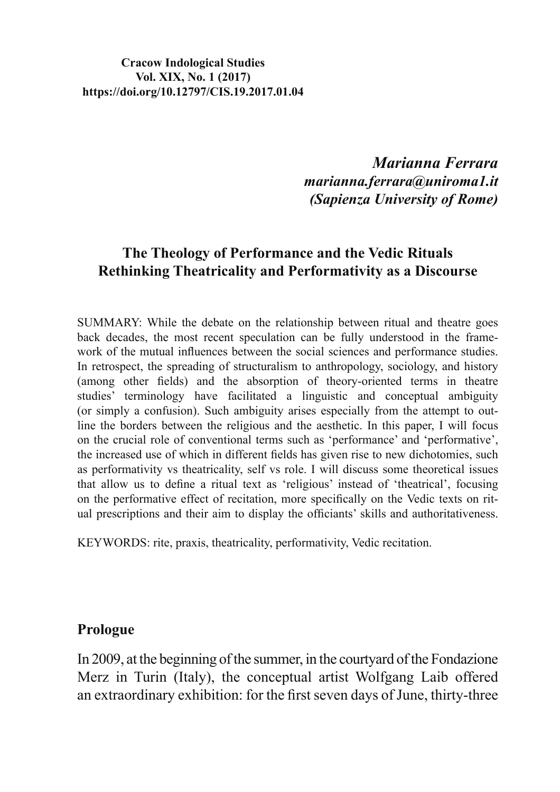### **Cracow Indological Studies** Vol. XIX, No. 1 (2017) https://doi.org/10.12797/CIS.19.2017.01.04

Marianna Ferrara marianna.ferrara@uniroma1.it (Sapienza University of Rome)

## The Theology of Performance and the Vedic Rituals **Rethinking Theatricality and Performativity as a Discourse**

SUMMARY: While the debate on the relationship between ritual and theatre goes back decades, the most recent speculation can be fully understood in the framework of the mutual influences between the social sciences and performance studies. In retrospect, the spreading of structuralism to anthropology, sociology, and history (among other fields) and the absorption of theory-oriented terms in theatre studies' terminology have facilitated a linguistic and conceptual ambiguity (or simply a confusion). Such ambiguity arises especially from the attempt to outline the borders between the religious and the aesthetic. In this paper, I will focus on the crucial role of conventional terms such as 'performance' and 'performative', the increased use of which in different fields has given rise to new dichotomies, such as performativity vs theatricality, self vs role. I will discuss some theoretical issues that allow us to define a ritual text as 'religious' instead of 'theatrical', focusing on the performative effect of recitation, more specifically on the Vedic texts on ritual prescriptions and their aim to display the officiants' skills and authoritativeness.

KEYWORDS: rite, praxis, theatricality, performativity, Vedic recitation.

### Prologue

In 2009, at the beginning of the summer, in the courty and of the Fondazione Merz in Turin (Italy), the conceptual artist Wolfgang Laib offered an extraordinary exhibition: for the first seven days of June, thirty-three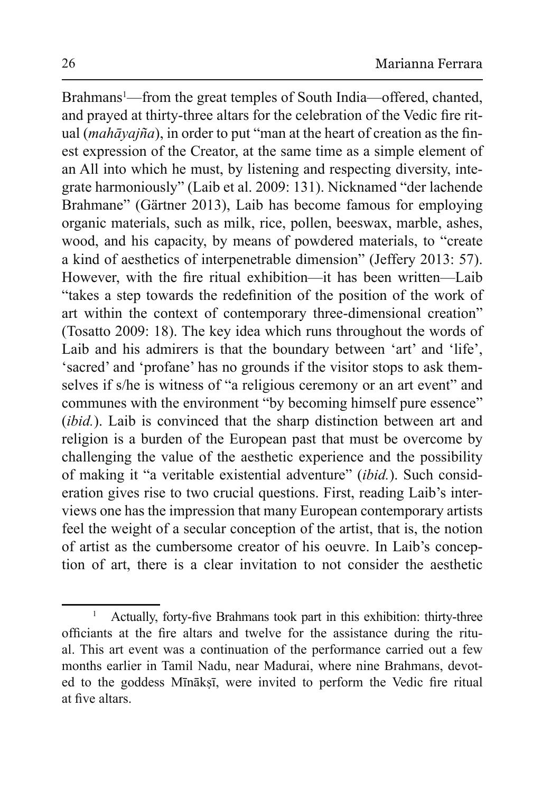Brahmans<sup>1</sup>—from the great temples of South India—offered, chanted, and prayed at thirty-three altars for the celebration of the Vedic fire ritual *(mahāyajña)*, in order to put "man at the heart of creation as the finest expression of the Creator, at the same time as a simple element of an All into which he must, by listening and respecting diversity, integrate harmoniously" (Laib et al. 2009: 131). Nicknamed "der lachende Brahmane" (Gärtner 2013), Laib has become famous for employing organic materials, such as milk, rice, pollen, beeswax, marble, ashes, wood, and his capacity, by means of powdered materials, to "create" a kind of aesthetics of interpenetrable dimension" (Jeffery 2013: 57). However, with the fire ritual exhibition-it has been written-Laib "takes a step towards the redefinition of the position of the work of art within the context of contemporary three-dimensional creation" (Tosatto 2009: 18). The key idea which runs throughout the words of Laib and his admirers is that the boundary between 'art' and 'life', 'sacred' and 'profane' has no grounds if the visitor stops to ask themselves if s/he is witness of "a religious ceremony or an art event" and communes with the environment "by becoming himself pure essence" (ibid.). Laib is convinced that the sharp distinction between art and religion is a burden of the European past that must be overcome by challenging the value of the aesthetic experience and the possibility of making it "a veritable existential adventure" *(ibid.)*. Such consideration gives rise to two crucial questions. First, reading Laib's interviews one has the impression that many European contemporary artists feel the weight of a secular conception of the artist, that is, the notion of artist as the cumbersome creator of his oeuvre. In Laib's conception of art, there is a clear invitation to not consider the aesthetic

 $\overline{1}$ Actually, forty-five Brahmans took part in this exhibition: thirty-three officiants at the fire altars and twelve for the assistance during the ritual. This art event was a continuation of the performance carried out a few months earlier in Tamil Nadu, near Madurai, where nine Brahmans, devoted to the goddess Mīnāksī, were invited to perform the Vedic fire ritual at five altars.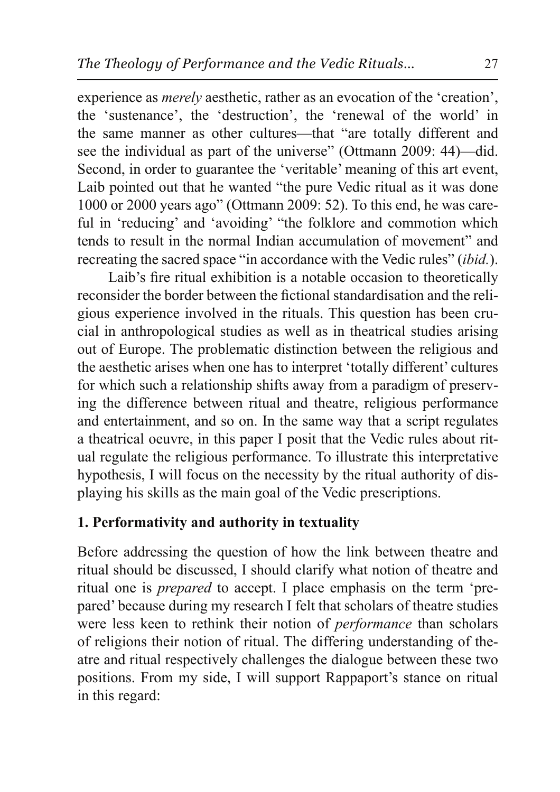experience as *merely* aesthetic, rather as an evocation of the 'creation', the 'sustenance', the 'destruction', the 'renewal of the world' in the same manner as other cultures—that "are totally different and see the individual as part of the universe" (Ottmann 2009: 44)—did. Second, in order to guarantee the 'veritable' meaning of this art event, Laib pointed out that he wanted "the pure Vedic ritual as it was done 1000 or 2000 years ago" (Ottmann 2009: 52). To this end, he was careful in 'reducing' and 'avoiding' "the folklore and commotion which tends to result in the normal Indian accumulation of movement" and recreating the sacred space "in accordance with the Vedic rules" (ibid.).

Laib's fire ritual exhibition is a notable occasion to theoretically reconsider the border between the fictional standardisation and the religious experience involved in the rituals. This question has been crucial in anthropological studies as well as in the atrical studies arising out of Europe. The problematic distinction between the religious and the aesthetic arises when one has to interpret 'totally different' cultures for which such a relationship shifts away from a paradigm of preserving the difference between ritual and theatre, religious performance and entertainment, and so on. In the same way that a script regulates a theatrical oeuvre, in this paper I posit that the Vedic rules about ritual regulate the religious performance. To illustrate this interpretative hypothesis, I will focus on the necessity by the ritual authority of displaying his skills as the main goal of the Vedic prescriptions.

# 1. Performativity and authority in textuality

Before addressing the question of how the link between theatre and ritual should be discussed, I should clarify what notion of theatre and ritual one is *prepared* to accept. I place emphasis on the term 'prepared' because during my research I felt that scholars of theatre studies were less keen to rethink their notion of *performance* than scholars of religions their notion of ritual. The differing understanding of theatre and ritual respectively challenges the dialogue between these two positions. From my side, I will support Rappaport's stance on ritual in this regard: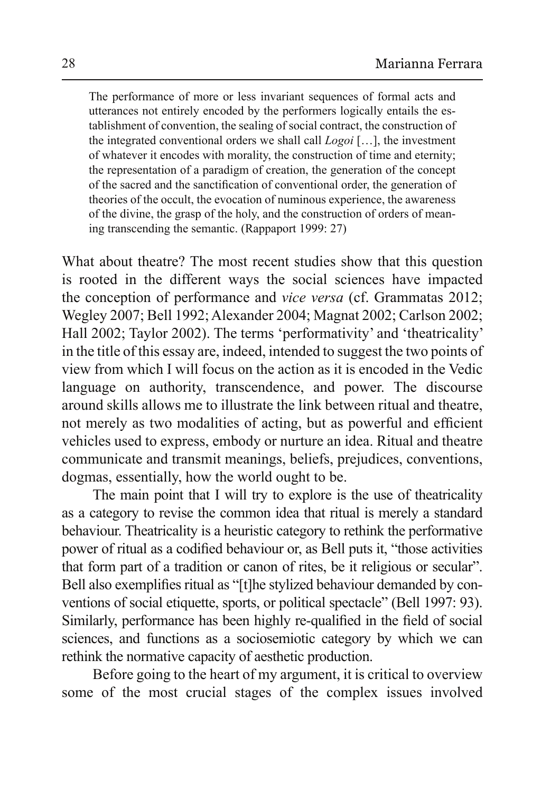The performance of more or less invariant sequences of formal acts and utterances not entirely encoded by the performers logically entails the establishment of convention, the sealing of social contract, the construction of the integrated conventional orders we shall call *Logoi* [...], the investment of whatever it encodes with morality, the construction of time and eternity; the representation of a paradigm of creation, the generation of the concept of the sacred and the sanctification of conventional order, the generation of theories of the occult, the evocation of numinous experience, the awareness of the divine, the grasp of the holy, and the construction of orders of meaning transcending the semantic. (Rappaport 1999: 27)

What about theatre? The most recent studies show that this question is rooted in the different ways the social sciences have impacted the conception of performance and vice versa (cf. Grammatas 2012; Wegley 2007; Bell 1992; Alexander 2004; Magnat 2002; Carlson 2002; Hall 2002; Taylor 2002). The terms 'performativity' and 'theatricality' in the title of this essay are, indeed, intended to suggest the two points of view from which I will focus on the action as it is encoded in the Vedic language on authority, transcendence, and power. The discourse around skills allows me to illustrate the link between ritual and theatre, not merely as two modalities of acting, but as powerful and efficient vehicles used to express, embody or nurture an idea. Ritual and theatre communicate and transmit meanings, beliefs, prejudices, conventions, dogmas, essentially, how the world ought to be.

The main point that I will try to explore is the use of the atricality as a category to revise the common idea that ritual is merely a standard behaviour. The atricality is a heuristic category to rethink the performative power of ritual as a codified behaviour or, as Bell puts it, "those activities" that form part of a tradition or canon of rites, be it religious or secular". Bell also exemplifies ritual as "[t] he stylized behaviour demanded by conventions of social etiquette, sports, or political spectacle" (Bell 1997: 93). Similarly, performance has been highly re-qualified in the field of social sciences, and functions as a sociosemiotic category by which we can rethink the normative capacity of aesthetic production.

Before going to the heart of my argument, it is critical to overview some of the most crucial stages of the complex issues involved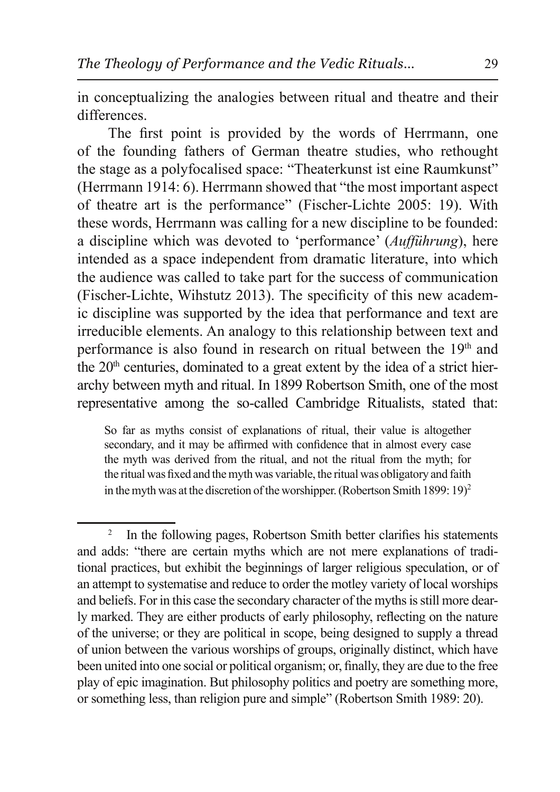in conceptualizing the analogies between ritual and theatre and their differences.

The first point is provided by the words of Herrmann, one of the founding fathers of German theatre studies, who rethought the stage as a polyfocalised space: "Theaterkunst ist eine Raumkunst" (Herrmann 1914: 6). Herrmann showed that "the most important aspect of theatre art is the performance" (Fischer-Lichte 2005: 19). With these words, Herrmann was calling for a new discipline to be founded: a discipline which was devoted to 'performance' (Aufführung), here intended as a space independent from dramatic literature, into which the audience was called to take part for the success of communication (Fischer-Lichte, Wihstutz 2013). The specificity of this new academic discipline was supported by the idea that performance and text are irreducible elements. An analogy to this relationship between text and performance is also found in research on ritual between the 19<sup>th</sup> and the 20<sup>th</sup> centuries, dominated to a great extent by the idea of a strict hierarchy between myth and ritual. In 1899 Robertson Smith, one of the most representative among the so-called Cambridge Ritualists, stated that:

So far as myths consist of explanations of ritual, their value is altogether secondary, and it may be affirmed with confidence that in almost every case the myth was derived from the ritual, and not the ritual from the myth; for the ritual was fixed and the myth was variable, the ritual was obligatory and faith in the myth was at the discretion of the worshipper. (Robertson Smith 1899: 19)<sup>2</sup>

 $\overline{c}$ In the following pages, Robertson Smith better clarifies his statements and adds: "there are certain myths which are not mere explanations of traditional practices, but exhibit the beginnings of larger religious speculation, or of an attempt to systematise and reduce to order the motley variety of local worships and beliefs. For in this case the secondary character of the myths is still more dearly marked. They are either products of early philosophy, reflecting on the nature of the universe; or they are political in scope, being designed to supply a thread of union between the various worships of groups, originally distinct, which have been united into one social or political organism; or, finally, they are due to the free play of epic imagination. But philosophy politics and poetry are something more, or something less, than religion pure and simple" (Robertson Smith 1989: 20).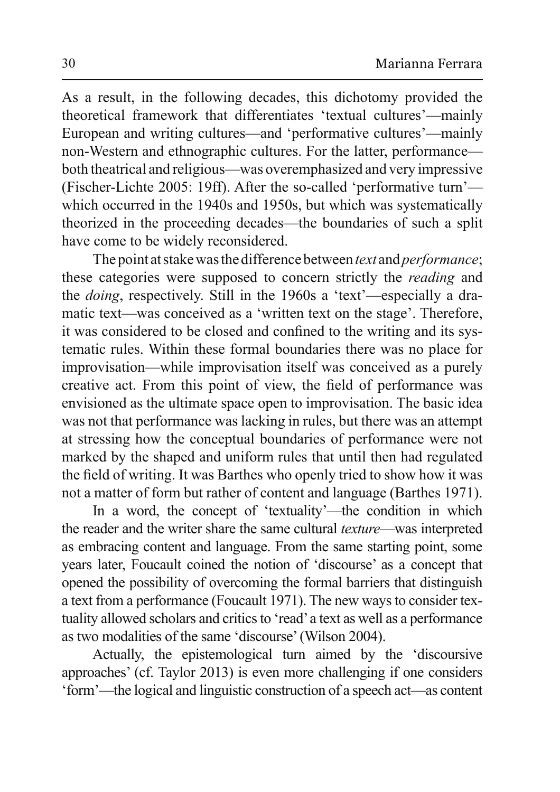As a result, in the following decades, this dichotomy provided the theoretical framework that differentiates 'textual cultures'—mainly European and writing cultures—and 'performative cultures'—mainly non-Western and ethnographic cultures. For the latter, performance both theatrical and religious—was overemphasized and very impressive (Fischer-Lichte 2005: 19ff). After the so-called 'performative turn' which occurred in the 1940s and 1950s, but which was systematically theorized in the proceeding decades—the boundaries of such a split have come to be widely reconsidered.

The point at stake was the difference between *text* and *performance*; these categories were supposed to concern strictly the *reading* and the *doing*, respectively. Still in the 1960s a 'text'—especially a dramatic text—was conceived as a 'written text on the stage'. Therefore, it was considered to be closed and confined to the writing and its systematic rules. Within these formal boundaries there was no place for improvisation—while improvisation itself was conceived as a purely creative act. From this point of view, the field of performance was envisioned as the ultimate space open to improvisation. The basic idea was not that performance was lacking in rules, but there was an attempt at stressing how the conceptual boundaries of performance were not marked by the shaped and uniform rules that until then had regulated the field of writing. It was Barthes who openly tried to show how it was not a matter of form but rather of content and language (Barthes 1971).

In a word, the concept of 'textuality'—the condition in which the reader and the writer share the same cultural *texture*—was interpreted as embracing content and language. From the same starting point, some years later, Foucault coined the notion of 'discourse' as a concept that opened the possibility of overcoming the formal barriers that distinguish a text from a performance (Foucault 1971). The new ways to consider textuality allowed scholars and critics to 'read' a text as well as a performance as two modalities of the same 'discourse' (Wilson 2004).

Actually, the epistemological turn aimed by the 'discoursive approaches' (cf. Taylor 2013) is even more challenging if one considers 'form'—the logical and linguistic construction of a speech act—as content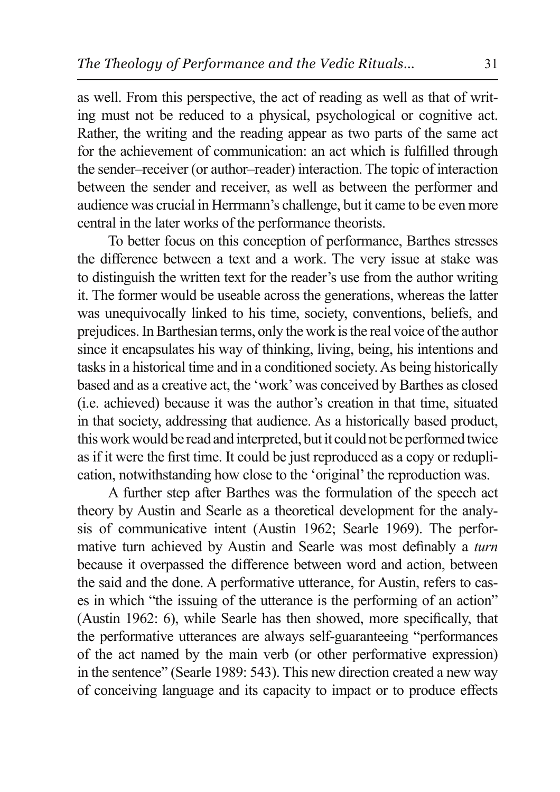as well. From this perspective, the act of reading as well as that of writing must not be reduced to a physical, psychological or cognitive act. Rather, the writing and the reading appear as two parts of the same act for the achievement of communication: an act which is fulfilled through the sender-receiver (or author-reader) interaction. The topic of interaction between the sender and receiver, as well as between the performer and audience was crucial in Herrmann's challenge, but it came to be even more central in the later works of the performance theorists.

To better focus on this conception of performance, Barthes stresses the difference between a text and a work. The very issue at stake was to distinguish the written text for the reader's use from the author writing it. The former would be useable across the generations, whereas the latter was unequivocally linked to his time, society, conventions, beliefs, and prejudices. In Barthesian terms, only the work is the real voice of the author since it encapsulates his way of thinking, living, being, his intentions and tasks in a historical time and in a conditioned society. As being historically based and as a creative act, the 'work' was conceived by Barthes as closed (i.e. achieved) because it was the author's creation in that time, situated in that society, addressing that audience. As a historically based product, this work would be read and interpreted, but it could not be performed twice as if it were the first time. It could be just reproduced as a copy or reduplication, notwithstanding how close to the 'original' the reproduction was.

A further step after Barthes was the formulation of the speech act theory by Austin and Searle as a theoretical development for the analysis of communicative intent (Austin 1962; Searle 1969). The performative turn achieved by Austin and Searle was most definably a turn because it overpassed the difference between word and action, between the said and the done. A performative utterance, for Austin, refers to cases in which "the issuing of the utterance is the performing of an action" (Austin 1962: 6), while Searle has then showed, more specifically, that the performative utterances are always self-guaranteeing "performances of the act named by the main verb (or other performative expression) in the sentence" (Searle 1989: 543). This new direction created a new way of conceiving language and its capacity to impact or to produce effects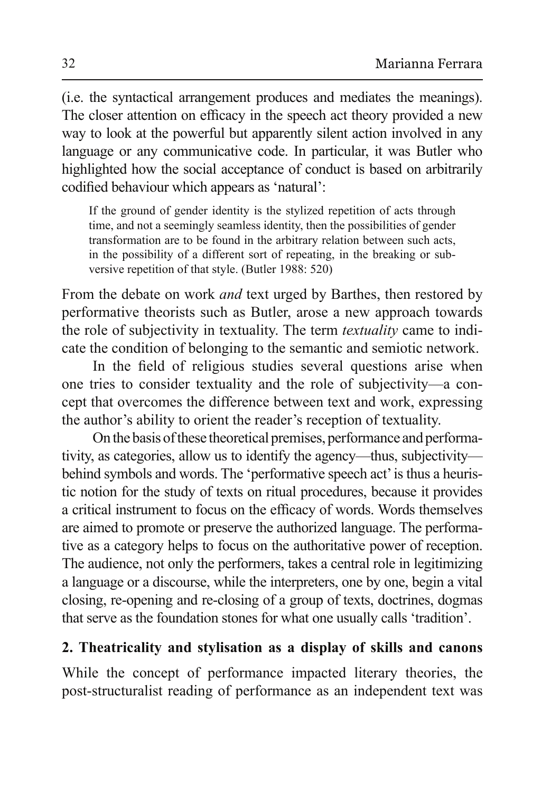(i.e. the syntactical arrangement produces and mediates the meanings). The closer attention on efficacy in the speech act theory provided a new way to look at the powerful but apparently silent action involved in any language or any communicative code. In particular, it was Butler who highlighted how the social acceptance of conduct is based on arbitrarily codified behaviour which appears as 'natural':

If the ground of gender identity is the stylized repetition of acts through time, and not a seemingly seamless identity, then the possibilities of gender transformation are to be found in the arbitrary relation between such acts, in the possibility of a different sort of repeating, in the breaking or subversive repetition of that style. (Butler 1988: 520)

From the debate on work *and* text urged by Barthes, then restored by performative theorists such as Butler, arose a new approach towards the role of subjectivity in textuality. The term *textuality* came to indicate the condition of belonging to the semantic and semiotic network.

In the field of religious studies several questions arise when one tries to consider textuality and the role of subjectivity—a concept that overcomes the difference between text and work, expressing the author's ability to orient the reader's reception of textuality.

On the basis of these theoretical premises, performance and performativity, as categories, allow us to identify the agency—thus, subjectivity behind symbols and words. The 'performative speech act' is thus a heuristic notion for the study of texts on ritual procedures, because it provides a critical instrument to focus on the efficacy of words. Words themselves are aimed to promote or preserve the authorized language. The performative as a category helps to focus on the authoritative power of reception. The audience, not only the performers, takes a central role in legitimizing a language or a discourse, while the interpreters, one by one, begin a vital closing, re-opening and re-closing of a group of texts, doctrines, dogmas that serve as the foundation stones for what one usually calls 'tradition'.

## 2. Theatricality and stylisation as a display of skills and canons

While the concept of performance impacted literary theories, the post-structuralist reading of performance as an independent text was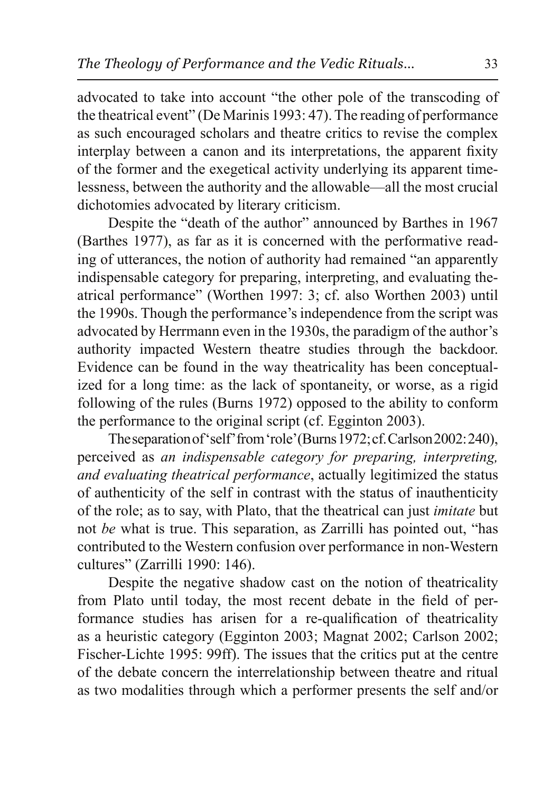advocated to take into account "the other pole of the transcoding of the theatrical event" (De Marinis 1993: 47). The reading of performance as such encouraged scholars and theatre critics to revise the complex interplay between a canon and its interpretations, the apparent fixity of the former and the exegetical activity underlying its apparent timelessness, between the authority and the allowable—all the most crucial dichotomies advocated by literary criticism.

Despite the "death of the author" announced by Barthes in 1967 (Barthes 1977), as far as it is concerned with the performative reading of utterances, the notion of authority had remained "an apparently indispensable category for preparing, interpreting, and evaluating theatrical performance" (Worthen 1997: 3; cf. also Worthen 2003) until the 1990s. Though the performance's independence from the script was advocated by Herrmann even in the 1930s, the paradigm of the author's authority impacted Western theatre studies through the backdoor. Evidence can be found in the way theatricality has been conceptualized for a long time: as the lack of spontaneity, or worse, as a rigid following of the rules (Burns 1972) opposed to the ability to conform the performance to the original script (cf. Egginton 2003).

The separation of 'self' from 'role' (Burns 1972; cf. Carlson 2002: 240), perceived as an indispensable category for preparing, interpreting, and evaluating theatrical performance, actually legitimized the status of authenticity of the self in contrast with the status of inauthenticity of the role; as to say, with Plato, that the theatrical can just *imitate* but not be what is true. This separation, as Zarrilli has pointed out, "has contributed to the Western confusion over performance in non-Western cultures" (Zarrilli 1990: 146).

Despite the negative shadow cast on the notion of the atricality from Plato until today, the most recent debate in the field of performance studies has arisen for a re-qualification of theatricality as a heuristic category (Egginton 2003; Magnat 2002; Carlson 2002; Fischer-Lichte 1995: 99ff). The issues that the critics put at the centre of the debate concern the interrelationship between theatre and ritual as two modalities through which a performer presents the self and/or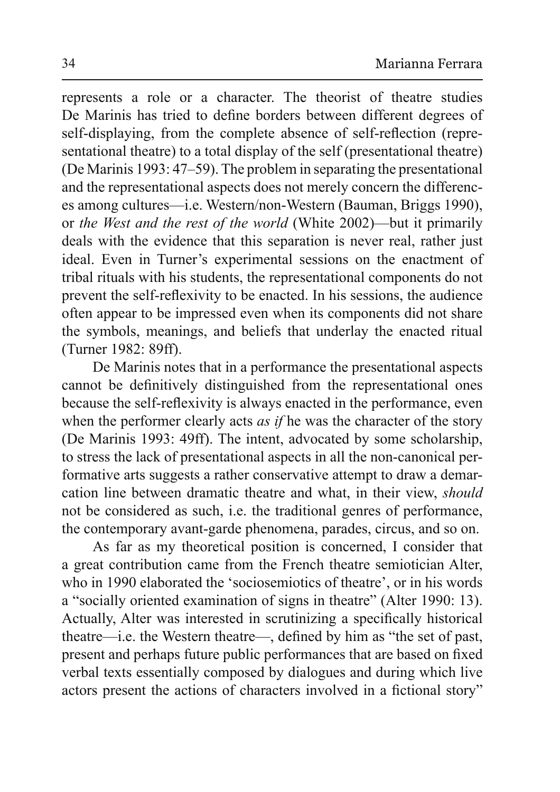represents a role or a character. The theorist of theatre studies De Marinis has tried to define borders between different degrees of self-displaying, from the complete absence of self-reflection (representational theatre) to a total display of the self (presentational theatre) (De Marinis 1993: 47–59). The problem in separating the presentational and the representational aspects does not merely concern the differences among cultures—i.e. Western/non-Western (Bauman, Briggs 1990), or the West and the rest of the world (White 2002)—but it primarily deals with the evidence that this separation is never real, rather just ideal. Even in Turner's experimental sessions on the enactment of tribal rituals with his students, the representational components do not prevent the self-reflexivity to be enacted. In his sessions, the audience often appear to be impressed even when its components did not share the symbols, meanings, and beliefs that underlay the enacted ritual (Turner 1982: 89ff).

De Marinis notes that in a performance the presentational aspects cannot be definitively distinguished from the representational ones because the self-reflexivity is always enacted in the performance, even when the performer clearly acts as if he was the character of the story (De Marinis 1993: 49ff). The intent, advocated by some scholarship, to stress the lack of presentational aspects in all the non-canonical performative arts suggests a rather conservative attempt to draw a demarcation line between dramatic theatre and what, in their view, *should* not be considered as such, i.e. the traditional genres of performance, the contemporary avant-garde phenomena, parades, circus, and so on.

As far as my theoretical position is concerned, I consider that a great contribution came from the French theatre semiotician Alter, who in 1990 elaborated the 'sociosemiotics of theatre', or in his words a "socially oriented examination of signs in the atre" (Alter 1990: 13). Actually, Alter was interested in scrutinizing a specifically historical theatre—i.e. the Western theatre—, defined by him as "the set of past, present and perhaps future public performances that are based on fixed verbal texts essentially composed by dialogues and during which live actors present the actions of characters involved in a fictional story"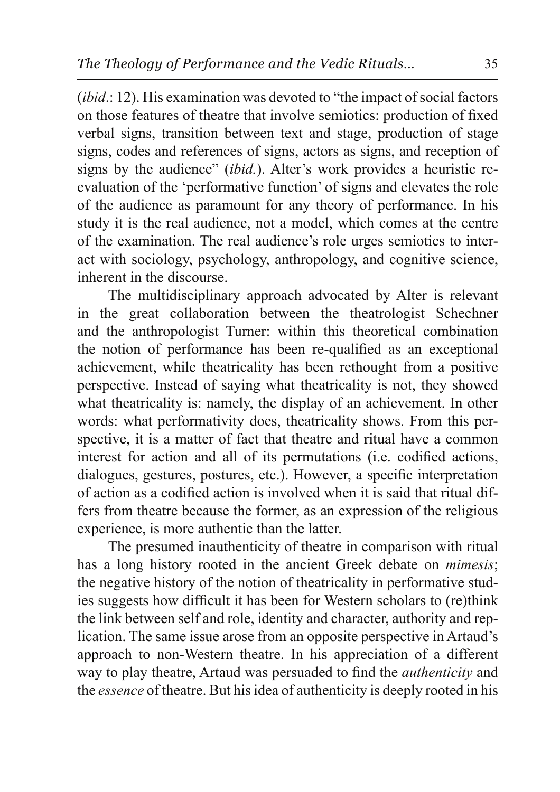*(ibid.:* 12). His examination was devoted to "the impact of social factors" on those features of theatre that involve semiotics: production of fixed verbal signs, transition between text and stage, production of stage signs, codes and references of signs, actors as signs, and reception of signs by the audience" *(ibid.)*. Alter's work provides a heuristic reevaluation of the 'performative function' of signs and elevates the role of the audience as paramount for any theory of performance. In his study it is the real audience, not a model, which comes at the centre of the examination. The real audience's role urges semiotics to interact with sociology, psychology, anthropology, and cognitive science, inherent in the discourse

The multidisciplinary approach advocated by Alter is relevant in the great collaboration between the theatrologist Schechner and the anthropologist Turner: within this theoretical combination the notion of performance has been re-qualified as an exceptional achievement, while theatricality has been rethought from a positive perspective. Instead of saying what theatricality is not, they showed what theatricality is: namely, the display of an achievement. In other words: what performativity does, theatricality shows. From this perspective, it is a matter of fact that theatre and ritual have a common interest for action and all of its permutations (i.e. codified actions, dialogues, gestures, postures, etc.). However, a specific interpretation of action as a codified action is involved when it is said that ritual differs from the atre because the former, as an expression of the religious experience, is more authentic than the latter.

The presumed inauthenticity of theatre in comparison with ritual has a long history rooted in the ancient Greek debate on *mimesis*; the negative history of the notion of the atricality in performative studies suggests how difficult it has been for Western scholars to (re)think the link between self and role, identity and character, authority and replication. The same issue arose from an opposite perspective in Artaud's approach to non-Western theatre. In his appreciation of a different way to play theatre, Artaud was persuaded to find the *authenticity* and the *essence* of theatre. But his idea of authenticity is deeply rooted in his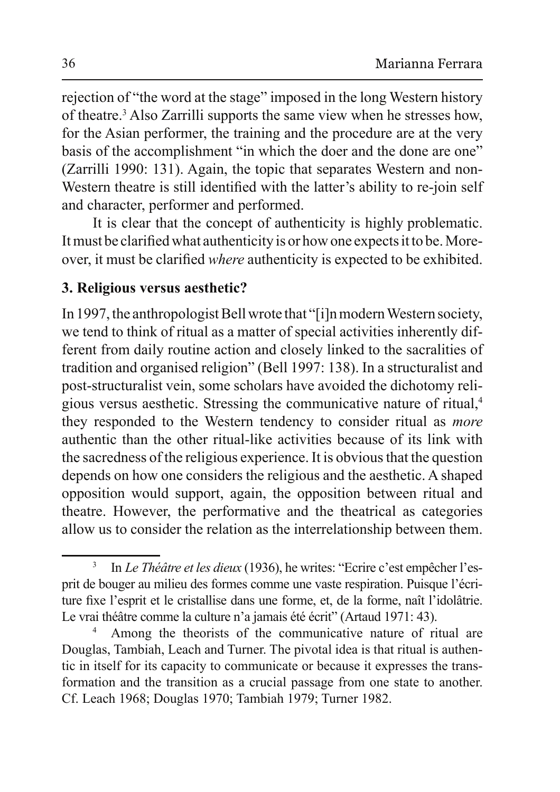rejection of "the word at the stage" imposed in the long Western history of theatre.<sup>3</sup> Also Zarrilli supports the same view when he stresses how, for the Asian performer, the training and the procedure are at the very basis of the accomplishment "in which the doer and the done are one"  $(Zarrilli 1990: 131)$ . Again, the topic that separates Western and non-Western theatre is still identified with the latter's ability to re-join self and character, performer and performed.

It is clear that the concept of authenticity is highly problematic. It must be clarified what authenticity is or how one expects it to be. Moreover, it must be clarified where authenticity is expected to be exhibited.

## **3. Religious versus aesthetic?**

In 1997, the anthropologist Bell wrote that "[i]n modern Western society, we tend to think of ritual as a matter of special activities inherently different from daily routine action and closely linked to the sacralities of tradition and organised religion" (Bell 1997: 138). In a structuralist and post-structuralist vein, some scholars have avoided the dichotomy religious versus aesthetic. Stressing the communicative nature of ritual,<sup>4</sup> they responded to the Western tendency to consider ritual as *more* authentic than the other ritual-like activities because of its link with the sacredness of the religious experience. It is obvious that the question depends on how one considers the religious and the aesthetic. A shaped opposition would support, again, the opposition between ritual and theatre. However, the performative and the theatrical as categories allow us to consider the relation as the interrelationship between them.

<sup>3</sup> In *Le Théâtre et les dieux* (1936), he writes: "Ecrire c'est empêcher l'esprit de bouger au milieu des formes comme une vaste respiration. Puisque l'écriture fixe l'esprit et le cristallise dans une forme, et, de la forme, naît l'idolâtrie. Le vrai théâtre comme la culture n'a jamais été écrit<sup>or</sup> (Artaud 1971: 43).

<sup>4</sup> Among the theorists of the communicative nature of ritual are Douglas, Tambiah, Leach and Turner. The pivotal idea is that ritual is authentic in itself for its capacity to communicate or because it expresses the transformation and the transition as a crucial passage from one state to another. Cf. Leach 1968; Douglas 1970; Tambiah 1979; Turner 1982.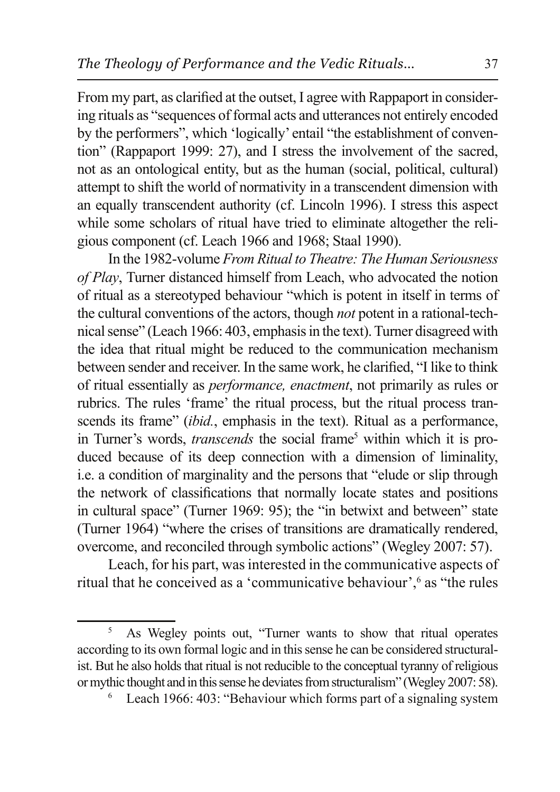From my part, as clarified at the outset, I agree with Rappaport in considering rituals as "sequences of formal acts and utterances not entirely encoded by the performers", which 'logically' entail "the establishment of convention" (Rappaport 1999: 27), and I stress the involvement of the sacred, not as an ontological entity, but as the human (social, political, cultural) attempt to shift the world of normativity in a transcendent dimension with an equally transcendent authority (cf. Lincoln 1996). I stress this aspect while some scholars of ritual have tried to eliminate altogether the religious component (cf. Leach 1966 and 1968; Staal 1990).

In the 1982-volume From Ritual to Theatre: The Human Seriousness of Play, Turner distanced himself from Leach, who advocated the notion of ritual as a stereotyped behaviour "which is potent in itself in terms of the cultural conventions of the actors, though *not* potent in a rational-technical sense" (Leach 1966: 403, emphasis in the text). Turner disagreed with the idea that ritual might be reduced to the communication mechanism between sender and receiver. In the same work, he clarified, "I like to think of ritual essentially as *performance*, *enactment*, not primarily as rules or rubrics. The rules 'frame' the ritual process, but the ritual process transcends its frame" *(ibid., emphasis in the text)*. Ritual as a performance, in Turner's words, *transcends* the social frame<sup>5</sup> within which it is produced because of its deep connection with a dimension of liminality, i.e. a condition of marginality and the persons that "elude or slip through the network of classifications that normally locate states and positions in cultural space" (Turner 1969: 95); the "in betwixt and between" state (Turner 1964) "where the crises of transitions are dramatically rendered, overcome, and reconciled through symbolic actions" (Wegley 2007: 57).

Leach, for his part, was interested in the communicative aspects of ritual that he conceived as a 'communicative behaviour',<sup>6</sup> as "the rules"

 $\overline{5}$ As Wegley points out, "Turner wants to show that ritual operates according to its own formal logic and in this sense he can be considered structuralist. But he also holds that ritual is not reducible to the conceptual tyranny of religious or mythic thought and in this sense he deviates from structuralism" (Wegley 2007: 58).

Leach 1966: 403: "Behaviour which forms part of a signaling system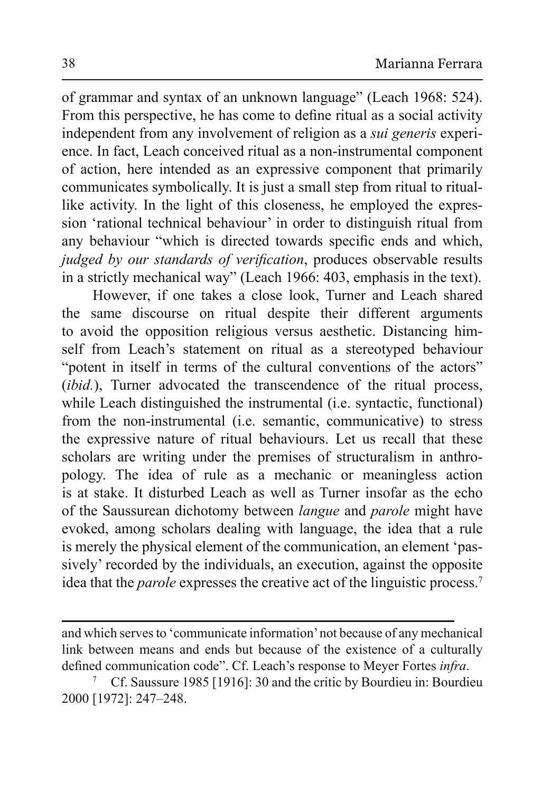of grammar and syntax of an unknown language" (Leach 1968: 524). From this perspective, he has come to define ritual as a social activity independent from any involvement of religion as a *sui generis* experience. In fact, Leach conceived ritual as a non-instrumental component of action, here intended as an expressive component that primarily communicates symbolically. It is just a small step from ritual to rituallike activity. In the light of this closeness, he employed the expression 'rational technical behaviour' in order to distinguish ritual from any behaviour "which is directed towards specific ends and which, judged by our standards of verification, produces observable results in a strictly mechanical way" (Leach 1966: 403, emphasis in the text).

However, if one takes a close look, Turner and Leach shared the same discourse on ritual despite their different arguments to avoid the opposition religious versus aesthetic. Distancing himself from Leach's statement on ritual as a stereotyped behaviour "potent in itself in terms of the cultural conventions of the actors" *(ibid.)*, Turner advocated the transcendence of the ritual process, while Leach distinguished the instrumental (i.e. syntactic, functional) from the non-instrumental (i.e. semantic, communicative) to stress the expressive nature of ritual behaviours. Let us recall that these scholars are writing under the premises of structuralism in anthropology. The idea of rule as a mechanic or meaningless action is at stake. It disturbed Leach as well as Turner insofar as the echo of the Saussurean dichotomy between *langue* and *parole* might have evoked, among scholars dealing with language, the idea that a rule is merely the physical element of the communication, an element 'passively' recorded by the individuals, an execution, against the opposite idea that the *parole* expresses the creative act of the linguistic process.<sup>7</sup>

and which serves to 'communicate information' not because of any mechanical link between means and ends but because of the existence of a culturally defined communication code". Cf. Leach's response to Meyer Fortes *infra*.

Cf. Saussure 1985 [1916]: 30 and the critic by Bourdieu in: Bourdieu  $\overline{7}$ 2000 [1972]: 247-248.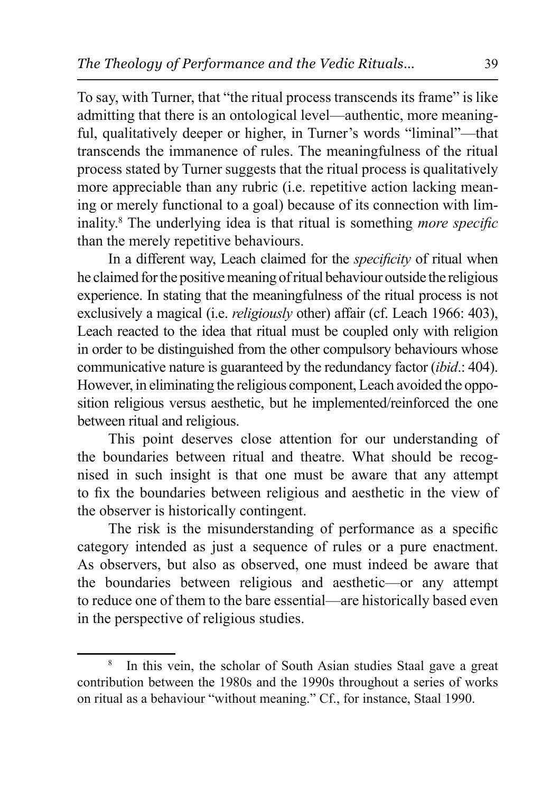To say, with Turner, that "the ritual process transcends its frame" is like admitting that there is an ontological level—authentic, more meaningful, qualitatively deeper or higher, in Turner's words "liminal"—that transcends the immanence of rules. The meaningfulness of the ritual process stated by Turner suggests that the ritual process is qualitatively more appreciable than any rubric (i.e. repetitive action lacking meaning or merely functional to a goal) because of its connection with liminality.<sup>8</sup> The underlying idea is that ritual is something *more specific* than the merely repetitive behaviours.

In a different way, Leach claimed for the *specificity* of ritual when he claimed for the positive meaning of ritual behaviour outside the religious experience. In stating that the meaningfulness of the ritual process is not exclusively a magical (i.e. *religiously* other) affair (cf. Leach 1966: 403), Leach reacted to the idea that ritual must be coupled only with religion in order to be distinguished from the other compulsory behaviours whose communicative nature is guaranteed by the redundancy factor *(ibid.*: 404). However, in eliminating the religious component, Leach avoided the opposition religious versus aesthetic, but he implemented/reinforced the one between ritual and religious.

This point deserves close attention for our understanding of the boundaries between ritual and theatre. What should be recognised in such insight is that one must be aware that any attempt to fix the boundaries between religious and aesthetic in the view of the observer is historically contingent.

The risk is the misunderstanding of performance as a specific category intended as just a sequence of rules or a pure enactment. As observers, but also as observed, one must indeed be aware that the boundaries between religious and aesthetic-or any attempt to reduce one of them to the bare essential—are historically based even in the perspective of religious studies.

<sup>8</sup> In this vein, the scholar of South Asian studies Staal gave a great contribution between the 1980s and the 1990s throughout a series of works on ritual as a behaviour "without meaning." Cf., for instance, Staal 1990.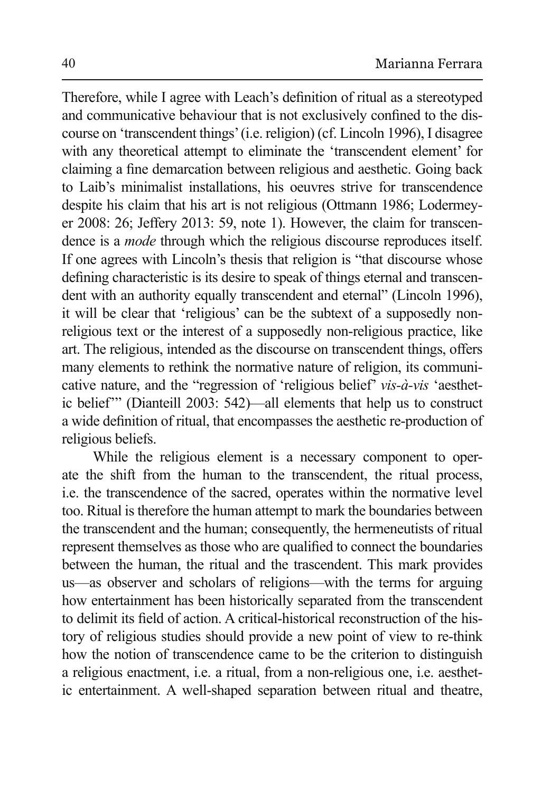Therefore, while I agree with Leach's definition of ritual as a stereotyped and communicative behaviour that is not exclusively confined to the discourse on 'transcendent things' (i.e. religion) (cf. Lincoln 1996), I disagree with any theoretical attempt to eliminate the 'transcendent element' for claiming a fine demarcation between religious and aesthetic. Going back to Laib's minimalist installations, his oeuvres strive for transcendence despite his claim that his art is not religious (Ottmann 1986; Lodermeyer 2008: 26; Jeffery 2013: 59, note 1). However, the claim for transcendence is a *mode* through which the religious discourse reproduces itself. If one agrees with Lincoln's thesis that religion is "that discourse whose defining characteristic is its desire to speak of things eternal and transcendent with an authority equally transcendent and eternal" (Lincoln 1996), it will be clear that 'religious' can be the subtext of a supposedly nonreligious text or the interest of a supposedly non-religious practice, like art. The religious, intended as the discourse on transcendent things, offers many elements to rethink the normative nature of religion, its communicative nature, and the "regression of 'religious belief' *vis-à-vis* 'aesthetic belief"" (Dianteill 2003: 542)—all elements that help us to construct a wide definition of ritual, that encompasses the aesthetic re-production of religious beliefs.

While the religious element is a necessary component to operate the shift from the human to the transcendent, the ritual process, i.e. the transcendence of the sacred, operates within the normative level too. Ritual is therefore the human attempt to mark the boundaries between the transcendent and the human; consequently, the hermeneutists of ritual represent themselves as those who are qualified to connect the boundaries between the human, the ritual and the trascendent. This mark provides us—as observer and scholars of religions—with the terms for arguing how entertainment has been historically separated from the transcendent to delimit its field of action. A critical-historical reconstruction of the history of religious studies should provide a new point of view to re-think how the notion of transcendence came to be the criterion to distinguish a religious enactment, i.e. a ritual, from a non-religious one, i.e. aesthetic entertainment. A well-shaped separation between ritual and theatre,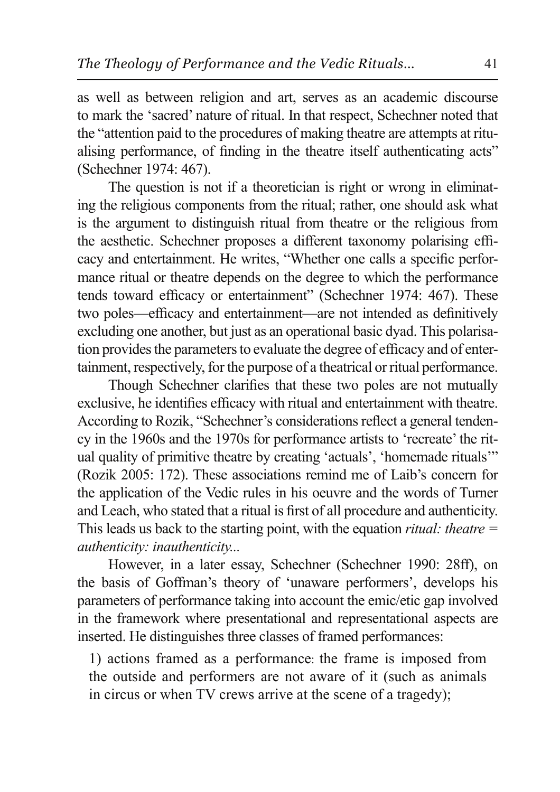as well as between religion and art, serves as an academic discourse to mark the 'sacred' nature of ritual. In that respect, Schechner noted that the "attention paid to the procedures of making theatre are attempts at ritualising performance, of finding in the theatre itself authenticating acts" (Schechner 1974: 467).

The question is not if a theoretician is right or wrong in eliminating the religious components from the ritual; rather, one should ask what is the argument to distinguish ritual from theatre or the religious from the aesthetic. Schechner proposes a different taxonomy polarising efficacy and entertainment. He writes, "Whether one calls a specific performance ritual or theatre depends on the degree to which the performance tends toward efficacy or entertainment" (Schechner 1974: 467). These two poles—efficacy and entertainment—are not intended as definitively excluding one another, but just as an operational basic dyad. This polarisation provides the parameters to evaluate the degree of efficacy and of entertainment, respectively, for the purpose of a theatrical or ritual performance.

Though Schechner clarifies that these two poles are not mutually exclusive, he identifies efficacy with ritual and entertainment with theatre. According to Rozik, "Schechner's considerations reflect a general tendency in the 1960s and the 1970s for performance artists to 'recreate' the ritual quality of primitive theatre by creating 'actuals', 'homemade rituals'" (Rozik 2005: 172). These associations remind me of Laib's concern for the application of the Vedic rules in his oeuvre and the words of Turner and Leach, who stated that a ritual is first of all procedure and authenticity. This leads us back to the starting point, with the equation *ritual: theatre*  $=$ authenticity: inauthenticity...

However, in a later essay, Schechner (Schechner 1990: 28ff), on the basis of Goffman's theory of 'unaware performers', develops his parameters of performance taking into account the emic/etic gap involved in the framework where presentational and representational aspects are inserted. He distinguishes three classes of framed performances:

1) actions framed as a performance: the frame is imposed from the outside and performers are not aware of it (such as animals in circus or when TV crews arrive at the scene of a tragedy);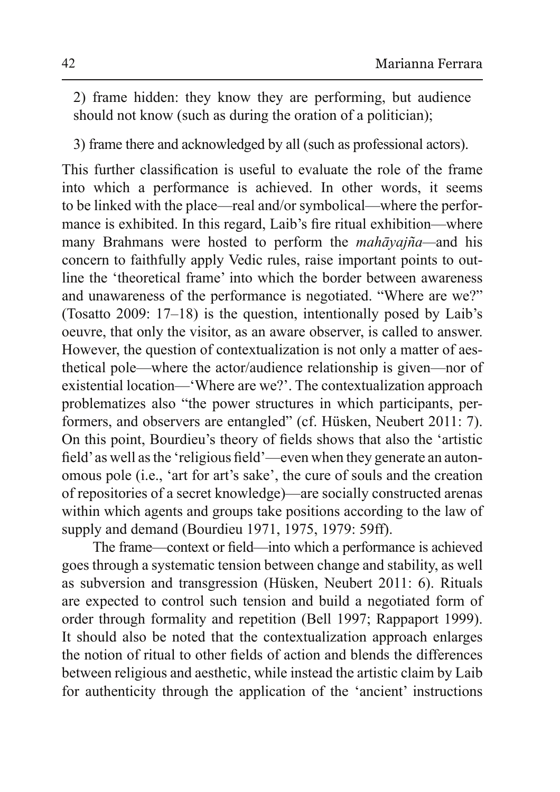2) frame hidden: they know they are performing, but audience should not know (such as during the oration of a politician);

3) frame there and acknowledged by all (such as professional actors).

This further classification is useful to evaluate the role of the frame into which a performance is achieved. In other words, it seems to be linked with the place—real and/or symbolical—where the performance is exhibited. In this regard, Laib's fire ritual exhibition—where many Brahmans were hosted to perform the *mahāyajña*—and his concern to faithfully apply Vedic rules, raise important points to outline the 'theoretical frame' into which the border between awareness and unawareness of the performance is negotiated. "Where are we?" (Tosatto 2009:  $17-18$ ) is the question, intentionally posed by Laib's oeuvre, that only the visitor, as an aware observer, is called to answer. However, the question of contextualization is not only a matter of aesthetical pole—where the actor/audience relationship is given—nor of existential location— 'Where are we?'. The contextualization approach problematizes also "the power structures in which participants, performers, and observers are entangled" (cf. Hüsken, Neubert 2011: 7). On this point, Bourdieu's theory of fields shows that also the 'artistic field' as well as the 'religious field'—even when they generate an autonomous pole (i.e., 'art for art's sake', the cure of souls and the creation of repositories of a secret knowledge)—are socially constructed arenas within which agents and groups take positions according to the law of supply and demand (Bourdieu 1971, 1975, 1979: 59ff).

The frame—context or field—into which a performance is achieved goes through a systematic tension between change and stability, as well as subversion and transgression (Hüsken, Neubert 2011: 6). Rituals are expected to control such tension and build a negotiated form of order through formality and repetition (Bell 1997; Rappaport 1999). It should also be noted that the contextualization approach enlarges the notion of ritual to other fields of action and blends the differences between religious and aesthetic, while instead the artistic claim by Laib for authenticity through the application of the 'ancient' instructions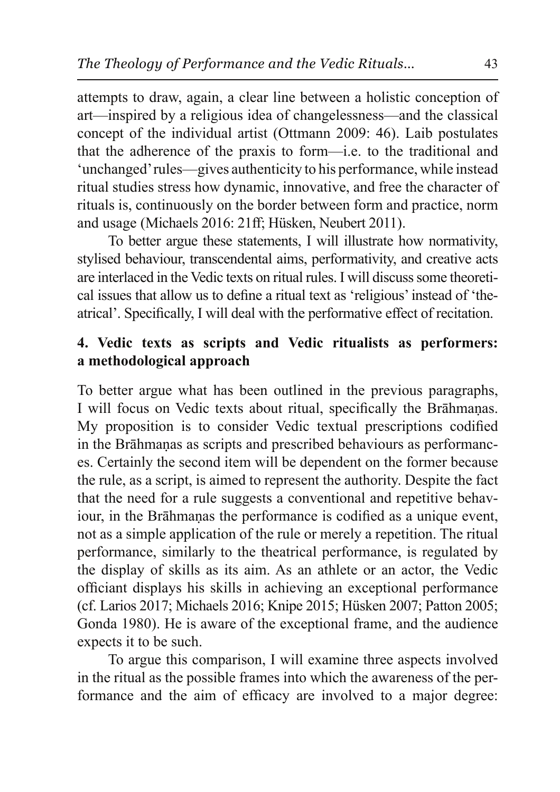attempts to draw, again, a clear line between a holistic conception of art—inspired by a religious idea of changelessness—and the classical concept of the individual artist (Ottmann 2009: 46). Laib postulates that the adherence of the praxis to form—i.e. to the traditional and 'unchanged' rules—gives authenticity to his performance, while instead ritual studies stress how dynamic, innovative, and free the character of rituals is, continuously on the border between form and practice, norm and usage (Michaels 2016: 21ff; Hüsken, Neubert 2011).

To better argue these statements, I will illustrate how normativity, stylised behaviour, transcendental aims, performativity, and creative acts are interlaced in the Vedic texts on ritual rules. I will discuss some theoretical issues that allow us to define a ritual text as 'religious' instead of 'theatrical'. Specifically, I will deal with the performative effect of recitation.

## **4. Vedic texts as scripts and Vedic ritualists as performers: a methodological approach**

To better argue what has been outlined in the previous paragraphs, I will focus on Vedic texts about ritual, specifically the Brāhmaṇas. My proposition is to consider Vedic textual prescriptions codified in the Brāhmanas as scripts and prescribed behaviours as performances. Certainly the second item will be dependent on the former because the rule, as a script, is aimed to represent the authority. Despite the fact that the need for a rule suggests a conventional and repetitive behaviour, in the Brāhmanas the performance is codified as a unique event, not as a simple application of the rule or merely a repetition. The ritual performance, similarly to the theatrical performance, is regulated by the display of skills as its aim. As an athlete or an actor, the Vedic officiant displays his skills in achieving an exceptional performance (cf. Larios 2017; Michaels 2016; Knipe 2015; Hüsken 2007; Patton 2005; Gonda 1980). He is aware of the exceptional frame, and the audience expects it to be such.

To argue this comparison, I will examine three aspects involved in the ritual as the possible frames into which the awareness of the performance and the aim of efficacy are involved to a major degree: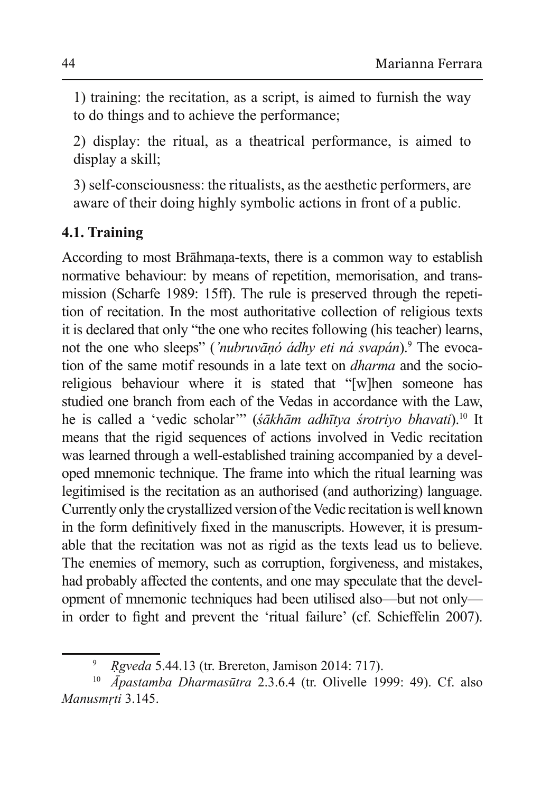1) training: the recitation, as a script, is aimed to furnish the way to do things and to achieve the performance;

2) display: the ritual, as a theatrical performance, is aimed to display a skill;

3) self-consciousness: the ritualists, as the aesthetic performers, are aware of their doing highly symbolic actions in front of a public.

# **4.1. Training**

According to most Brāhmana-texts, there is a common way to establish normative behaviour: by means of repetition, memorisation, and transmission (Scharfe 1989: 15ff). The rule is preserved through the repetition of recitation. In the most authoritative collection of religious texts it is declared that only "the one who recites following (his teacher) learns, not the one who sleeps" ('nubruvāņó ádhy eti ná svapán).<sup>9</sup> The evocation of the same motif resounds in a late text on *dharma* and the socioreligious behaviour where it is stated that "[w]hen someone has studied one branch from each of the Vedas in accordance with the Law, he is called a 'vedic scholar'" (śākhām adhītya śrotriyo bhavati).<sup>10</sup> It means that the rigid sequences of actions involved in Vedic recitation was learned through a well-established training accompanied by a developed mnemonic technique. The frame into which the ritual learning was legitimised is the recitation as an authorised (and authorizing) language. Currently only the crystallized version of the Vedic recitation is well known in the form definitively fixed in the manuscripts. However, it is presumable that the recitation was not as rigid as the texts lead us to believe. The enemies of memory, such as corruption, forgiveness, and mistakes, had probably affected the contents, and one may speculate that the development of mnemonic techniques had been utilised also—but not only in order to fight and prevent the 'ritual failure' (cf. Schieffelin 2007).

<sup>&</sup>lt;sup>9</sup> *Rgveda* 5.44.13 (tr. Brereton, Jamison 2014: 717).

<sup>&</sup>lt;sup>10</sup> *Āpastamba Dharmasūtra* 2.3.6.4 (tr. Olivelle 1999: 49). Cf. also *Manusmrti* 3.145.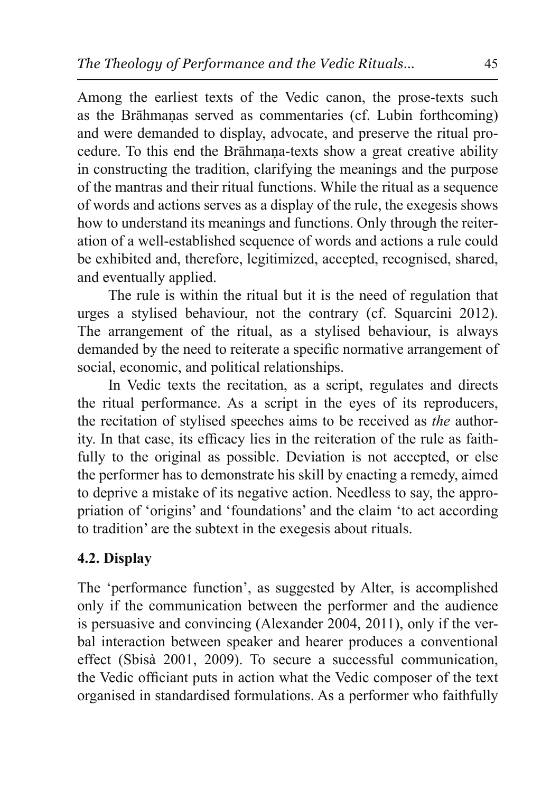Among the earliest texts of the Vedic canon, the prose-texts such as the Brāhmanas served as commentaries (cf. Lubin forthcoming) and were demanded to display, advocate, and preserve the ritual procedure. To this end the Brahmana-texts show a great creative ability in constructing the tradition, clarifying the meanings and the purpose of the mantras and their ritual functions. While the ritual as a sequence of words and actions serves as a display of the rule, the exeges is shows how to understand its meanings and functions. Only through the reiteration of a well-established sequence of words and actions a rule could be exhibited and, therefore, legitimized, accepted, recognised, shared, and eventually applied.

The rule is within the ritual but it is the need of regulation that urges a stylised behaviour, not the contrary (cf. Squarcini 2012). The arrangement of the ritual, as a stylised behaviour, is always demanded by the need to reiterate a specific normative arrangement of social, economic, and political relationships.

In Vedic texts the recitation, as a script, regulates and directs the ritual performance. As a script in the eyes of its reproducers, the recitation of stylised speeches aims to be received as the authority. In that case, its efficacy lies in the reiteration of the rule as faithfully to the original as possible. Deviation is not accepted, or else the performer has to demonstrate his skill by enacting a remedy, aimed to deprive a mistake of its negative action. Needless to say, the appropriation of 'origins' and 'foundations' and the claim 'to act according to tradition' are the subtext in the exegesis about rituals.

# 4.2. Display

The 'performance function', as suggested by Alter, is accomplished only if the communication between the performer and the audience is persuasive and convincing (Alexander 2004, 2011), only if the verbal interaction between speaker and hearer produces a conventional effect (Sbisà 2001, 2009). To secure a successful communication, the Vedic officiant puts in action what the Vedic composer of the text organised in standardised formulations. As a performer who faithfully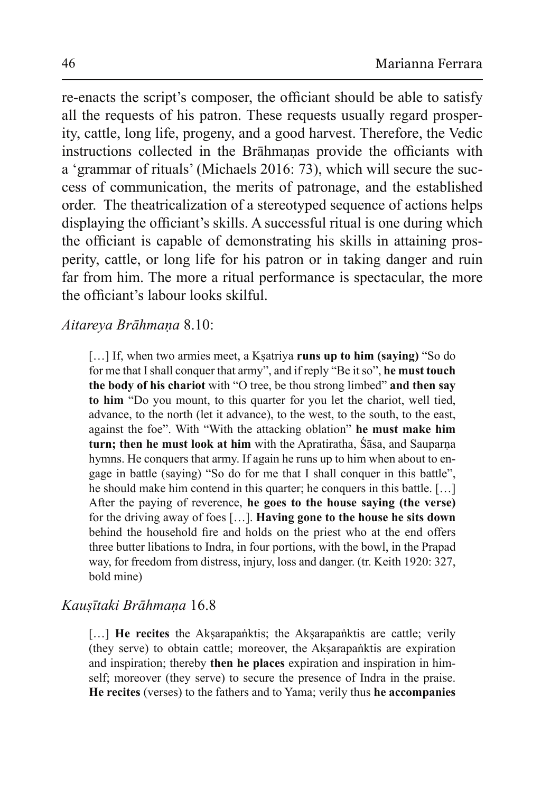re-enacts the script's composer, the officiant should be able to satisfy all the requests of his patron. These requests usually regard prosperity, cattle, long life, progeny, and a good harvest. Therefore, the Vedic instructions collected in the Brāhmanas provide the officiants with a 'grammar of rituals' (Michaels 2016: 73), which will secure the success of communication, the merits of patronage, and the established order. The theatricalization of a stereotyped sequence of actions helps displaying the officiant's skills. A successful ritual is one during which the officiant is capable of demonstrating his skills in attaining prosperity, cattle, or long life for his patron or in taking danger and ruin far from him. The more a ritual performance is spectacular, the more the officiant's labour looks skilful.

Aitareva Brāhmana 8.10:

[...] If, when two armies meet, a Ksatriya runs up to him (saying) "So do for me that I shall conquer that army", and if reply "Be it so", he must touch the body of his chariot with "O tree, be thou strong limbed" and then say to him "Do you mount, to this quarter for you let the chariot, well tied, advance, to the north (let it advance), to the west, to the south, to the east, against the foe". With "With the attacking oblation" he must make him turn; then he must look at him with the Apratiratha, Sasa, and Sauparna hymns. He conquers that army. If again he runs up to him when about to engage in battle (saying) "So do for me that I shall conquer in this battle". he should make him contend in this quarter; he conquers in this battle. [...] After the paying of reverence, he goes to the house saying (the verse) for the driving away of foes [...]. **Having gone to the house he sits down** behind the household fire and holds on the priest who at the end offers three butter libations to Indra, in four portions, with the bowl, in the Prapad way, for freedom from distress, injury, loss and danger, (tr. Keith 1920: 327, bold mine)

### Kausītaki Brāhmana 16.8

[...] He recites the Aksarapanktis; the Aksarapanktis are cattle; verily (they serve) to obtain cattle; moreover, the Aksarapanktis are expiration and inspiration; thereby then he places expiration and inspiration in himself; moreover (they serve) to secure the presence of Indra in the praise. He recites (verses) to the fathers and to Yama; verily thus he accompanies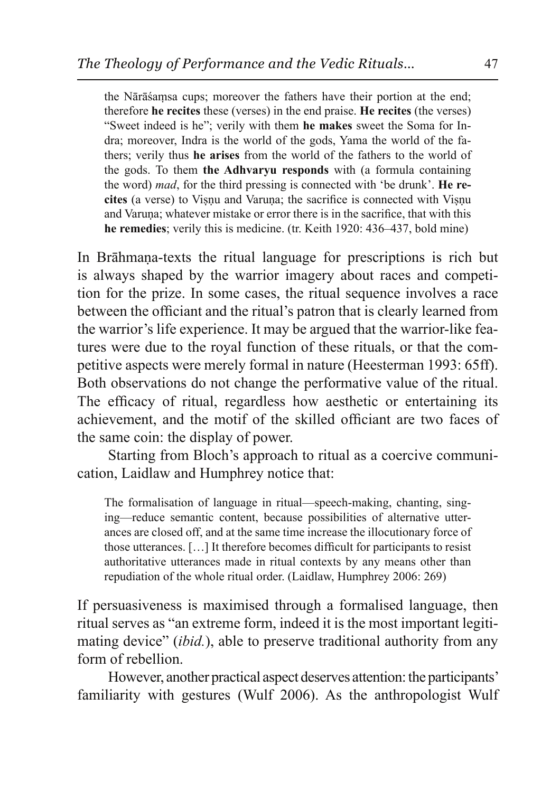the Nārāšamsa cups; moreover the fathers have their portion at the end; therefore he recites these (verses) in the end praise. He recites (the verses) "Sweet indeed is he"; verily with them he makes sweet the Soma for Indra; moreover, Indra is the world of the gods, Yama the world of the fathers; verily thus he arises from the world of the fathers to the world of the gods. To them the Adhvaryu responds with (a formula containing the word) *mad*, for the third pressing is connected with 'be drunk'. He recites (a verse) to Visnu and Varuna; the sacrifice is connected with Visnu and Varuna; whatever mistake or error there is in the sacrifice, that with this he remedies; verily this is medicine. (tr. Keith 1920: 436–437, bold mine)

In Brāhmana-texts the ritual language for prescriptions is rich but is always shaped by the warrior imagery about races and competition for the prize. In some cases, the ritual sequence involves a race between the officiant and the ritual's patron that is clearly learned from the warrior's life experience. It may be argued that the warrior-like features were due to the royal function of these rituals, or that the competitive aspects were merely formal in nature (Heesterman 1993: 65ff). Both observations do not change the performative value of the ritual. The efficacy of ritual, regardless how aesthetic or entertaining its achievement, and the motif of the skilled officiant are two faces of the same coin: the display of power.

Starting from Bloch's approach to ritual as a coercive communication, Laidlaw and Humphrey notice that:

The formalisation of language in ritual—speech-making, chanting, singing-reduce semantic content, because possibilities of alternative utterances are closed off, and at the same time increase the illocutionary force of those utterances. [...] It therefore becomes difficult for participants to resist authoritative utterances made in ritual contexts by any means other than repudiation of the whole ritual order. (Laidlaw, Humphrey 2006: 269)

If persuasiveness is maximised through a formalised language, then ritual serves as "an extreme form, indeed it is the most important legitimating device" *(ibid.)*, able to preserve traditional authority from any form of rebellion.

However, another practical aspect deserves attention: the participants' familiarity with gestures (Wulf 2006). As the anthropologist Wulf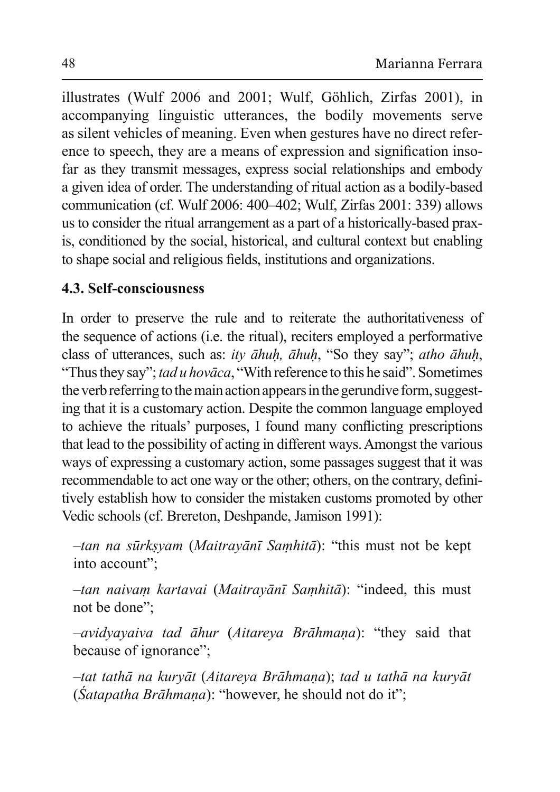illustrates (Wulf 2006 and 2001; Wulf, Göhlich, Zirfas 2001), in accompanying linguistic utterances, the bodily movements serve as silent vehicles of meaning. Even when gestures have no direct reference to speech, they are a means of expression and signification insofar as they transmit messages, express social relationships and embody a given idea of order. The understanding of ritual action as a bodily-based communication (cf. Wulf  $2006$ : 400-402; Wulf, Zirfas  $2001$ : 339) allows us to consider the ritual arrangement as a part of a historically-based praxis, conditioned by the social, historical, and cultural context but enabling to shape social and religious fields, institutions and organizations.

## **4.3. Self-consciousness**

In order to preserve the rule and to reiterate the authoritativeness of the sequence of actions (i.e. the ritual), reciters employed a performative class of utterances, such as: *ity āhuh, āhuh*, "So they say"; *atho āhuh*, "Thus they say"; tad u hovāca, "With reference to this he said". Sometimes the verb referring to the main action appears in the gerundive form, suggesting that it is a customary action. Despite the common language employed to achieve the rituals' purposes. I found many conflicting prescriptions that lead to the possibility of acting in different ways. Amongst the various ways of expressing a customary action, some passages suggest that it was recommendable to act one way or the other; others, on the contrary, definitively establish how to consider the mistaken customs promoted by other Vedic schools (cf. Brereton, Deshpande, Jamison 1991):

 $-tan$  *na sūrksyam (Maitrayānī Samhitā*): "this must not be kept into account":

-tan naivam kartavai (Maitrayānī Samhitā): "indeed, this must not be done":

 $-i\partial\bar{y}$  *+ avidyayaiva tad āhur (Aitareya Brāhmana)*: "they said that because of ignorance";

 $-$ tat tathā na kuryāt (Aitareya Brāhmana); *tad u tathā na kuryāt* (*Śatapatha Brāhmaṇa*): "however, he should not do it";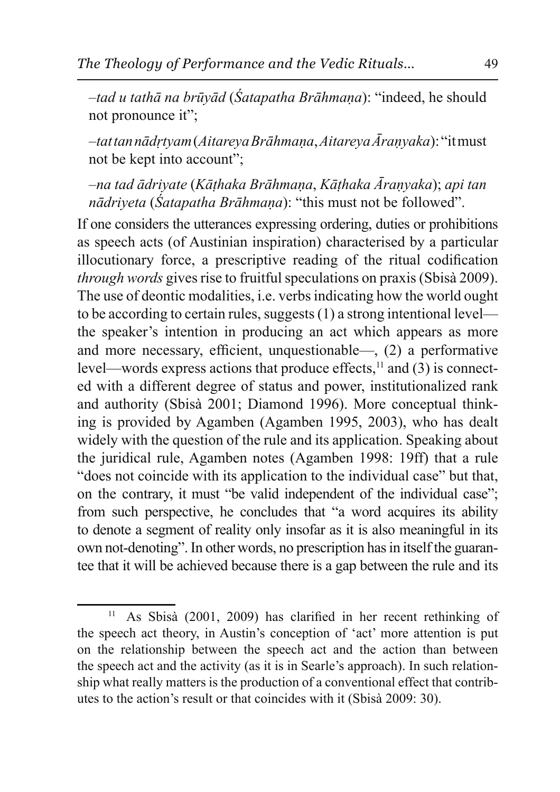*-tad u tathā na brūyād (Śatapatha Brāhmaņa)*: "indeed, he should not pronounce it";

 $-$ tat tan nādrtyam (Aitareya Brāhmana, Aitareya Āranyaka): "it must not be kept into account":

-na tad ādrivate (Kāthaka Brāhmana, Kāthaka Āranyaka); api tan *nādriyeta* (*Satapatha Brāhmaṇa*): "this must not be followed".

If one considers the utterances expressing ordering, duties or prohibitions as speech acts (of Austinian inspiration) characterised by a particular illocutionary force, a prescriptive reading of the ritual codification *through words* gives rise to fruitful speculations on praxis (Sbisa 2009). The use of deontic modalities, i.e. verbs indicating how the world ought to be according to certain rules, suggests  $(1)$  a strong intentional level the speaker's intention in producing an act which appears as more and more necessary, efficient, unquestionable—, (2) a performative level—words express actions that produce effects, $^{11}$  and  $(3)$  is connected with a different degree of status and power, institutionalized rank and authority (Sbisà 2001; Diamond 1996). More conceptual thinking is provided by Agamben (Agamben 1995, 2003), who has dealt widely with the question of the rule and its application. Speaking about the juridical rule, Agamben notes (Agamben 1998: 19ff) that a rule "does not coincide with its application to the individual case" but that, on the contrary, it must "be valid independent of the individual case"; from such perspective, he concludes that "a word acquires its ability to denote a segment of reality only insofar as it is also meaningful in its own not-denoting". In other words, no prescription has in itself the guarantee that it will be achieved because there is a gap between the rule and its

 $\overline{11}$ As Sbisà (2001, 2009) has clarified in her recent rethinking of the speech act theory, in Austin's conception of 'act' more attention is put on the relationship between the speech act and the action than between the speech act and the activity (as it is in Searle's approach). In such relationship what really matters is the production of a conventional effect that contributes to the action's result or that coincides with it (Sbisà 2009: 30).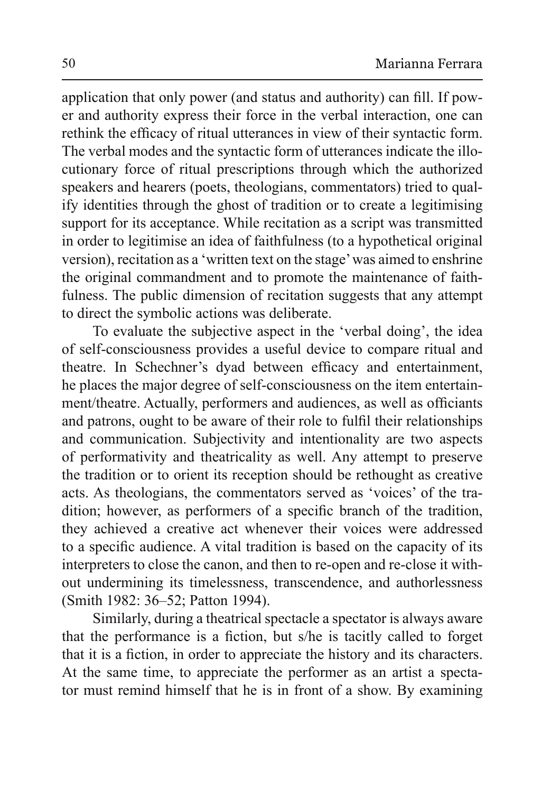application that only power (and status and authority) can fill. If power and authority express their force in the verbal interaction, one can rethink the efficacy of ritual utterances in view of their syntactic form. The verbal modes and the syntactic form of utterances indicate the illocutionary force of ritual prescriptions through which the authorized speakers and hearers (poets, theologians, commentators) tried to qualify identities through the ghost of tradition or to create a legitimising support for its acceptance. While recitation as a script was transmitted in order to legitimise an idea of faithfulness (to a hypothetical original version), recitation as a 'written text on the stage' was aimed to enshrine the original commandment and to promote the maintenance of faithfulness. The public dimension of recitation suggests that any attempt to direct the symbolic actions was deliberate.

To evaluate the subjective aspect in the 'verbal doing', the idea of self-consciousness provides a useful device to compare ritual and theatre. In Schechner's dyad between efficacy and entertainment, he places the major degree of self-consciousness on the item entertainment/theatre. Actually, performers and audiences, as well as officiants and patrons, ought to be aware of their role to fulfil their relationships and communication. Subjectivity and intentionality are two aspects of performativity and theatricality as well. Any attempt to preserve the tradition or to orient its reception should be rethought as creative acts. As theologians, the commentators served as 'voices' of the tradition; however, as performers of a specific branch of the tradition, they achieved a creative act whenever their voices were addressed to a specific audience. A vital tradition is based on the capacity of its interpreters to close the canon, and then to re-open and re-close it without undermining its timelessness, transcendence, and authorlessness (Smith 1982: 36–52; Patton 1994).

Similarly, during a theatrical spectacle a spectator is always aware that the performance is a fiction, but s/he is tacitly called to forget that it is a fiction, in order to appreciate the history and its characters. At the same time, to appreciate the performer as an artist a spectator must remind himself that he is in front of a show. By examining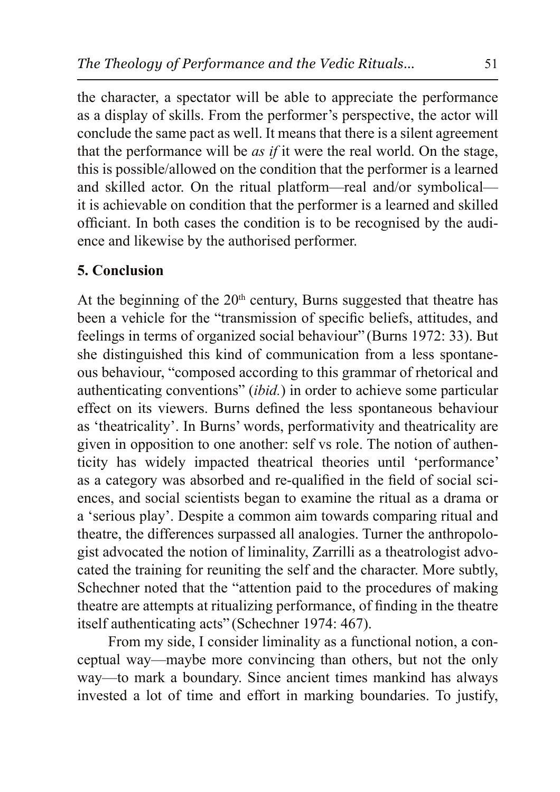the character, a spectator will be able to appreciate the performance as a display of skills. From the performer's perspective, the actor will conclude the same pact as well. It means that there is a silent agreement that the performance will be *as if* it were the real world. On the stage, this is possible/allowed on the condition that the performer is a learned and skilled actor. On the ritual platform—real and/or symbolical it is achievable on condition that the performer is a learned and skilled officiant. In both cases the condition is to be recognised by the audience and likewise by the authorised performer.

## **5. Conclusion**

At the beginning of the 20<sup>th</sup> century, Burns suggested that theatre has been a vehicle for the "transmission of specific beliefs, attitudes, and feelings in terms of organized social behaviour" (Burns 1972: 33). But she distinguished this kind of communication from a less spontaneous behaviour, "composed according to this grammar of rhetorical and authenticating conventions" (ibid.) in order to achieve some particular effect on its viewers. Burns defined the less spontaneous behaviour as 'theatricality'. In Burns' words, performativity and theatricality are given in opposition to one another: self vs role. The notion of authenticity has widely impacted theatrical theories until 'performance' as a category was absorbed and re-qualified in the field of social sciences, and social scientists began to examine the ritual as a drama or a 'serious play'. Despite a common aim towards comparing ritual and theatre, the differences surpassed all analogies. Turner the anthropologist advocated the notion of liminality, Zarrilli as a theatrologist advocated the training for reuniting the self and the character. More subtly, Schechner noted that the "attention paid to the procedures of making theatre are attempts at ritualizing performance, of finding in the theatre itself authenticating acts" (Schechner 1974: 467).

From my side, I consider liminality as a functional notion, a conceptual way—maybe more convincing than others, but not the only way—to mark a boundary. Since ancient times mankind has always invested a lot of time and effort in marking boundaries. To justify,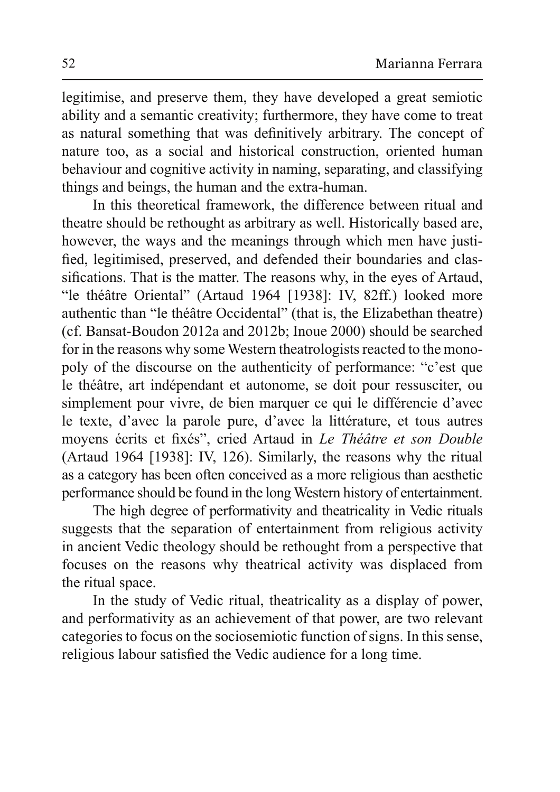legitimise, and preserve them, they have developed a great semiotic ability and a semantic creativity; furthermore, they have come to treat as natural something that was definitively arbitrary. The concept of nature too, as a social and historical construction, oriented human behaviour and cognitive activity in naming, separating, and classifying things and beings, the human and the extra-human.

In this theoretical framework, the difference between ritual and theatre should be rethought as arbitrary as well. Historically based are, however, the ways and the meanings through which men have justified, legitimised, preserved, and defended their boundaries and classifications. That is the matter. The reasons why, in the eyes of Artaud, "le théâtre Oriental" (Artaud 1964 [1938]: IV, 82ff.) looked more authentic than "le théâtre Occidental" (that is, the Elizabethan theatre) (cf. Bansat-Boudon 2012a and 2012b; Inoue 2000) should be searched for in the reasons why some Western theatrologists reacted to the monopoly of the discourse on the authenticity of performance: "c'est que le théâtre, art indépendant et autonome, se doit pour ressusciter, ou simplement pour vivre, de bien marquer ce qui le différencie d'avec le texte, d'avec la parole pure, d'avec la littérature, et tous autres moyens écrits et fixés", cried Artaud in Le Théâtre et son Double (Artaud 1964 [1938]: IV, 126). Similarly, the reasons why the ritual as a category has been often conceived as a more religious than aesthetic performance should be found in the long Western history of entertainment.

The high degree of performativity and theatricality in Vedic rituals suggests that the separation of entertainment from religious activity in ancient Vedic theology should be rethought from a perspective that focuses on the reasons why theatrical activity was displaced from the ritual space.

In the study of Vedic ritual, the atricality as a display of power, and performativity as an achievement of that power, are two relevant categories to focus on the sociosemiotic function of signs. In this sense, religious labour satisfied the Vedic audience for a long time.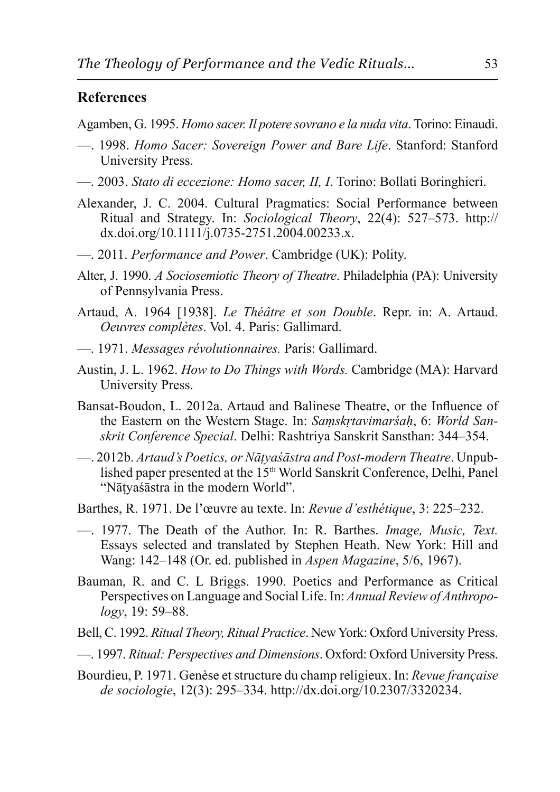### **References**

Agamben, G. 1995. *Homo sacer. Il potere sovrano e la nuda vita*. Torino: Einaudi.

- —. 1998. *Homo Sacer: Sovereign Power and Bare Life*. Stanford: Stanford University Press.
- $\overline{\phantom{A}}$  2003. Stato di eccezione: Homo sacer, II, I. Torino: Bollati Boringhieri.
- Alexander, J. C. 2004. Cultural Pragmatics: Social Performance between Ritual and Strategy. In: *Sociological Theory*, 22(4): 527-573. http:// dx.doi.org/10.1111/j.0735-2751.2004.00233.x.
- -2011. Performance and Power. Cambridge (UK): Polity.
- Alter, J. 1990. *A Sociosemiotic Theory of Theatre*. Philadelphia (PA): University of Pennsylvania Press.
- Artaud, A. 1964 [1938]. *Le Théâtre et son Double*. Repr. in: A. Artaud. *<u>Oeuvres complètes.* Vol. 4. Paris: Gallimard.</u>
- —. 1971. *Messages révolutionnaires*. Paris: Gallimard.
- Austin, J. L. 1962. *How to Do Things with Words*. Cambridge (MA): Harvard University Press.
- Bansat-Boudon, L. 2012a. Artaud and Balinese Theatre, or the Influence of the Eastern on the Western Stage. In: Samskrtavimarsah, 6: World San*skrit Conference Special. Delhi: Rashtriya Sanskrit Sansthan: 344–354.*
- $-2012b$ . *Artaud's Poetics, or Nātyaśāstra and Post-modern Theatre*. Unpublished paper presented at the 15<sup>th</sup> World Sanskrit Conference, Delhi, Panel "Nātvasāstra in the modern World".
- Barthes, R. 1971. De l'œuvre au texte. In: Revue d'esthétique, 3: 225–232.
- —. 1977. The Death of the Author. In: R. Barthes. *Image*, *Music*, *Text.* Essays selected and translated by Stephen Heath. New York: Hill and Wang: 142–148 (Or. ed. published in *Aspen Magazine*, 5/6, 1967).
- Bauman, R. and C. L Briggs. 1990. Poetics and Performance as Critical Perspectives on Language and Social Life. In: Annual Review of Anthropo*logy*, 19: 59–88.
- Bell, C. 1992. *Ritual Theory. Ritual Practice.* New York: Oxford University Press.
- -. 1997. Ritual: Perspectives and Dimensions. Oxford: Oxford University Press.
- Bourdieu, P. 1971. Genèse et structure du champ religieux. In: Revue française *de sociologie*, 12(3): 295–334. http://dx.doi.org/10.2307/3320234.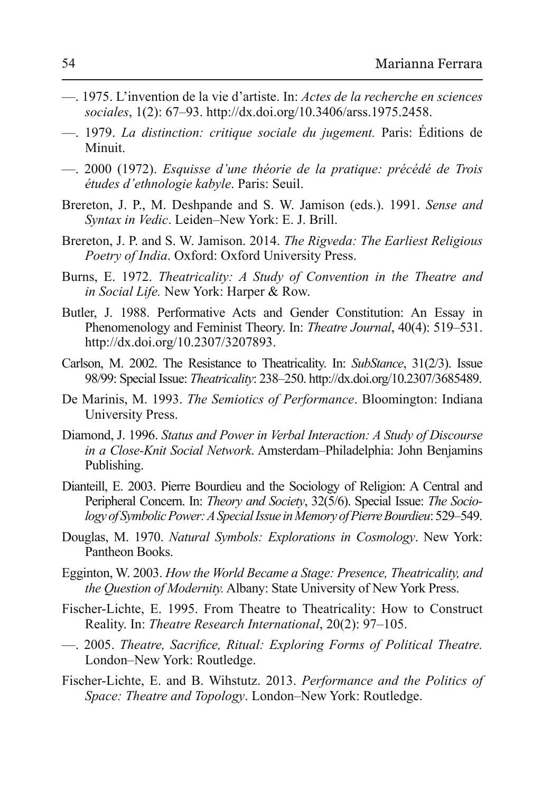- —. 1975. L'invention de la vie d'artiste. In: *Actes de la recherche en sciences* sociales, 1(2): 67-93. http://dx.doi.org/10.3406/arss.1975.2458.
- —. 1979. *La distinction: critique sociale du jugement*. Paris: Editions de Minuit.
- 2000 (1972). Esquisse d'une théorie de la pratique: précédé de Trois *études d'ethnologie kabyle. Paris: Seuil.*
- Brereton, J. P., M. Deshpande and S. W. Jamison (eds.). 1991. Sense and *Syntax in Vedic.* Leiden-New York: E. J. Brill.
- Brereton, J. P. and S. W. Jamison. 2014. The Rigveda: The Earliest Religious *Poetry of India.* Oxford: Oxford University Press.
- Burns, E. 1972. Theatricality: A Study of Convention in the Theatre and *in Social Life.* New York: Harper & Row.
- Butler, J. 1988. Performative Acts and Gender Constitution: An Essay in Phenomenology and Feminist Theory. In: *Theatre Journal*, 40(4): 519–531. http://dx.doi.org/10.2307/3207893.
- Carlson, M. 2002. The Resistance to Theatricality. In: SubStance, 31(2/3). Issue 68/99: Special Issue: *Theatricality*: 238–250. http://dx.doi.org/10.2307/3685489.
- De Marinis, M. 1993. The Semiotics of Performance. Bloomington: Indiana University Press.
- Diamond, J. 1996. Status and Power in Verbal Interaction: A Study of Discourse *in a Close-Knit Social Network*. Amsterdam-Philadelphia: John Benjamins Publishing.
- Dianteill, E. 2003. Pierre Bourdieu and the Sociology of Religion: A Central and Peripheral Concern. In: *Theory and Society*, 32(5/6). Special Issue: *The Sociology of Symbolic Power: A Special Issue in Memory of Pierre Bourdieu: 529–549.*
- Douglas, M. 1970. Natural Symbols: Explorations in Cosmology. New York: Pantheon Books.
- Egginton, W. 2003. How the World Became a Stage: Presence, Theatricality, and *the Question of Modernity.* Albany: State University of New York Press.
- Fischer-Lichte, E. 1995. From Theatre to Theatricality: How to Construct Reality. In: *Theatre Research International*, 20(2): 97–105.
- $-$ . 2005. Theatre, Sacrifice, Ritual: Exploring Forms of Political Theatre. London-New York: Routledge.
- Fischer-Lichte, E. and B. Wihstutz. 2013. Performance and the Politics of *Space: Theatre and Topology.* London–New York: Routledge.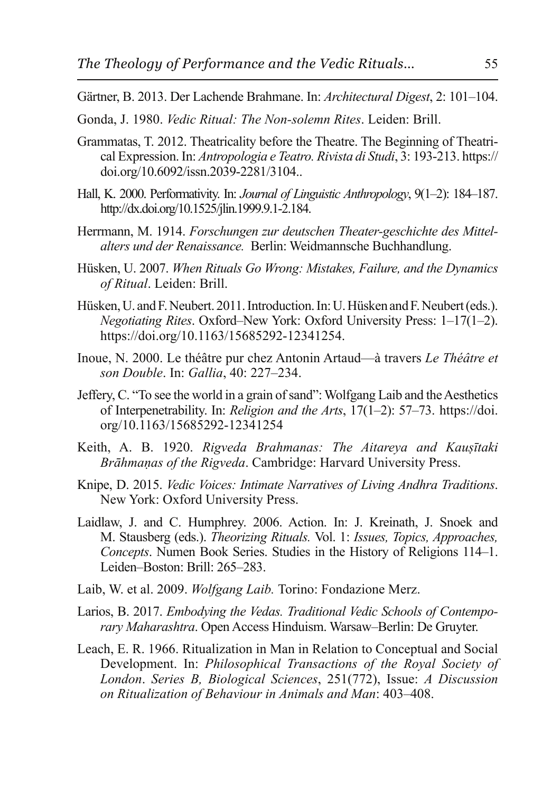- Gärtner, B. 2013. Der Lachende Brahmane. In: Architectural Digest, 2: 101-104.
- Gonda, J. 1980. *Vedic Ritual: The Non-solemn Rites*. Leiden: Brill.
- Grammatas, T. 2012. Theatricality before the Theatre. The Beginning of Theatrireal Expression. In: *Antropologia e Teatro. Rivista di Studi*, 3: 193-213. https:// doi.org/10.6092/issn.2039-2281/3104...
- Hall, K. 2000. Performativity. In: *Journal of Linguistic Anthropology*, 9(1–2): 184–187. http://dx.doi.org/10.1525/jlin.1999.9.1-2.184.
- Herrmann, M. 1914. Forschungen zur deutschen Theater-geschichte des Mittel*alters und der Renaissance.* Berlin: Weidmannsche Buchhandlung.
- Hüsken, U. 2007. When Rituals Go Wrong: Mistakes, Failure, and the Dynamics of Ritual. Leiden: Brill.
- Hüsken, U. and F. Neubert. 2011. Introduction. In: U. Hüsken and F. Neubert (eds.). *Negotiating Rites.* Oxford–New York: Oxford University Press: 1–17(1–2). https://doi.org/10.1163/15685292-12341254.
- Inoue, N. 2000. Le théâtre pur chez Antonin Artaud—à travers *Le Théâtre et son Double.* In: *Gallia*, 40: 227–234.
- Jeffery, C. "To see the world in a grain of sand": Wolfgang Laib and the Aesthetics of Interpenetrability. In: *Religion and the Arts*, 17(1–2): 57–73. https://doi. org/10.1163/15685292-12341254
- Keith, A. B. 1920. Rigveda Brahmanas: The Aitareya and Kausītaki *Brāhmanas of the Rigveda.* Cambridge: Harvard University Press.
- Knipe, D. 2015. *Vedic Voices: Intimate Narratives of Living Andhra Traditions.* New York: Oxford University Press.
- Laidlaw, J. and C. Humphrey. 2006. Action. In: J. Kreinath, J. Snoek and M. Stausberg (eds.). *Theorizing Rituals.* Vol. 1: *Issues, Topics, Approaches, Concepts.* Numen Book Series. Studies in the History of Religions 114–1. Leiden–Boston: Brill: 265–283.
- Laib, W. et al. 2009. *Wolfgang Laib*. Torino: Fondazione Merz.
- Larios, B. 2017. *Embodying the Vedas. Traditional Vedic Schools of Contemporary Maharashtra*. Open Access Hinduism. Warsaw–Berlin: De Gruyter.
- Leach, E. R. 1966. Ritualization in Man in Relation to Conceptual and Social Development. In: *Philosophical Transactions of the Royal Society of London. Series B, Biological Sciences, 251(772), Issue: A Discussion on Ritualization of Behaviour in Animals and Man:* 403-408.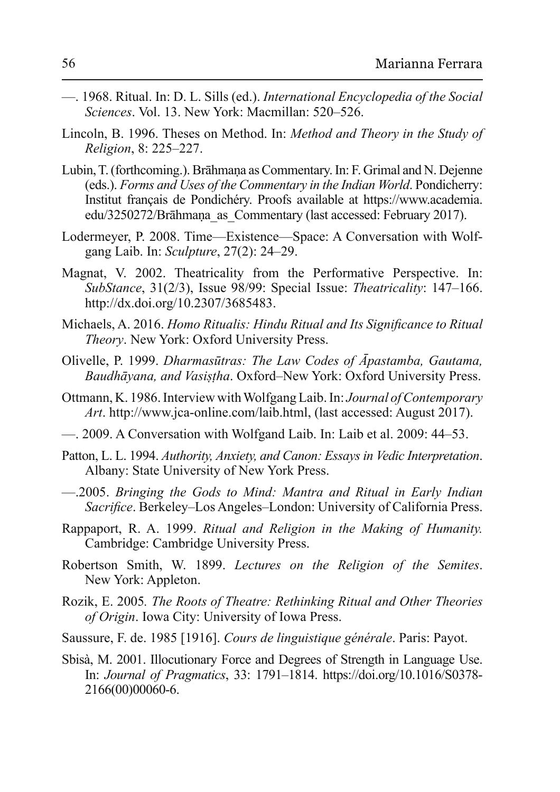- —. 1968. Ritual. In: D. L. Sills (ed.). *International Encyclopedia of the Social Sciences*, Vol. 13, New York: Macmillan: 520–526.
- Lincoln, B. 1996. Theses on Method. In: Method and Theory in the Study of *Religion, 8: 225–227.*
- Lubin, T. (forthcoming.). Brāhmana as Commentary. In: F. Grimal and N. Dejenne (eds.). Forms and Uses of the Commentary in the Indian World. Pondicherry: Institut français de Pondichéry. Proofs available at https://www.academia. edu/3250272/Brāhmana as Commentary (last accessed: February 2017).
- Lodermeyer, P. 2008. Time—Existence—Space: A Conversation with Wolfgang Laib. In: *Sculpture*, 27(2): 24–29.
- Magnat, V. 2002. Theatricality from the Performative Perspective. In: *SubStance*, 31(2/3), Issue 98/99: Special Issue: *Theatricality*: 147–166. http://dx.doi.org/10.2307/3685483.
- Michaels, A. 2016. Homo Ritualis: Hindu Ritual and Its Significance to Ritual *Theory*. New York: Oxford University Press.
- Olivelle, P. 1999. *Dharmasūtras: The Law Codes of Āpastamba, Gautama, Baudhāvana, and Vasistha, Oxford–New York: Oxford University Press.*
- Ottmann, K. 1986. Interview with Wolfgang Laib. In: *Journal of Contemporary Art.* http://www.jca-online.com/laib.html, (last accessed: August 2017).
- 2009. A Conversation with Wolfgand Laib. In: Laib et al. 2009: 44–53.
- Patton, L. L. 1994. Authority, Anxiety, and Canon: Essays in Vedic Interpretation. Albany: State University of New York Press.
- -2005. Bringing the Gods to Mind: Mantra and Ritual in Early Indian *Sacrifice*. Berkeley–Los Angeles–London: University of California Press.
- Rappaport, R. A. 1999. Ritual and Religion in the Making of Humanity. Cambridge: Cambridge University Press.
- Robertson Smith, W. 1899. Lectures on the Religion of the Semites. New York: Appleton.
- Rozik, E. 2005. The Roots of Theatre: Rethinking Ritual and Other Theories *of Origin*. Iowa City: University of Iowa Press.
- Saussure, F. de. 1985 [1916]. Cours de linguistique générale. Paris: Payot.
- Sbisà, M. 2001. Illocutionary Force and Degrees of Strength in Language Use. In: *Journal of Pragmatics*, 33: 1791–1814. https://doi.org/10.1016/S0378-2166(00)00060-6.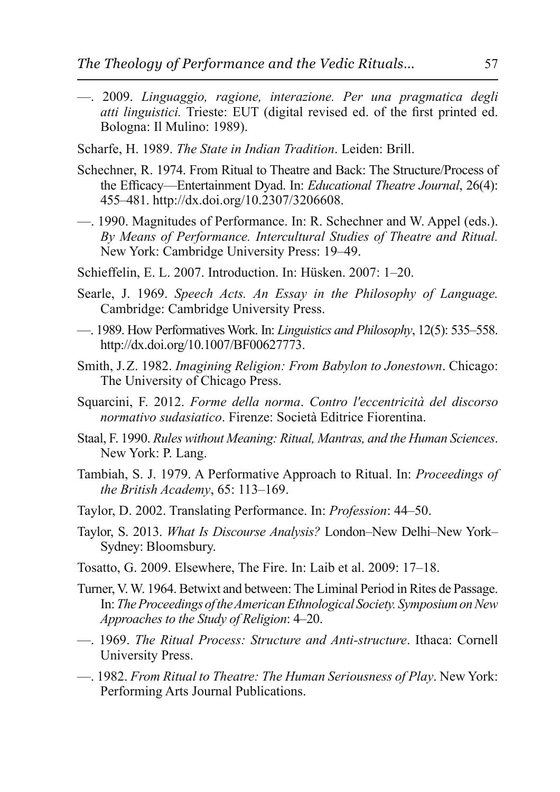- 2009. Linguaggio, ragione, interazione. Per una pragmatica degli atti linguistici. Trieste: EUT (digital revised ed. of the first printed ed. Bologna: Il Mulino: 1989).
- Scharfe, H. 1989. The State in Indian Tradition. Leiden: Brill.
- Schechner, R. 1974. From Ritual to Theatre and Back: The Structure/Process of the Efficacy—Entertainment Dyad. In: Educational Theatre Journal, 26(4): 455-481. http://dx.doi.org/10.2307/3206608.
- 1990. Magnitudes of Performance. In: R. Schechner and W. Appel (eds.). By Means of Performance. Intercultural Studies of Theatre and Ritual. New York: Cambridge University Press: 19–49.
- Schieffelin, E. L. 2007. Introduction. In: Hüsken. 2007: 1–20.
- Searle, J. 1969. Speech Acts. An Essay in the Philosophy of Language. Cambridge: Cambridge University Press.
- http://dx.doi.org/10.1007/BF00627773.
- Smith, J.Z. 1982. Imagining Religion: From Babylon to Jonestown. Chicago: The University of Chicago Press.
- Squarcini, F. 2012. Forme della norma. Contro l'eccentricità del discorso normativo sudasiatico. Firenze: Società Editrice Fiorentina.
- Staal, F. 1990. Rules without Meaning: Ritual, Mantras, and the Human Sciences. New York: P. Lang.
- Tambiah, S. J. 1979. A Performative Approach to Ritual. In: *Proceedings of* the British Academy, 65: 113-169.
- Taylor, D. 2002. Translating Performance. In: *Profession*: 44–50.
- Taylor, S. 2013. What Is Discourse Analysis? London-New Delhi-New York-Sydney: Bloomsbury.
- Tosatto, G. 2009. Elsewhere, The Fire. In: Laib et al. 2009: 17–18.
- Turner, V. W. 1964. Betwixt and between: The Liminal Period in Rites de Passage. In: The Proceedings of the American Ethnological Society. Symposium on New Approaches to the Study of Religion: 4–20.
- -. 1969. The Ritual Process: Structure and Anti-structure. Ithaca: Cornell University Press.
- -... 1982. From Ritual to Theatre: The Human Seriousness of Play. New York: Performing Arts Journal Publications.